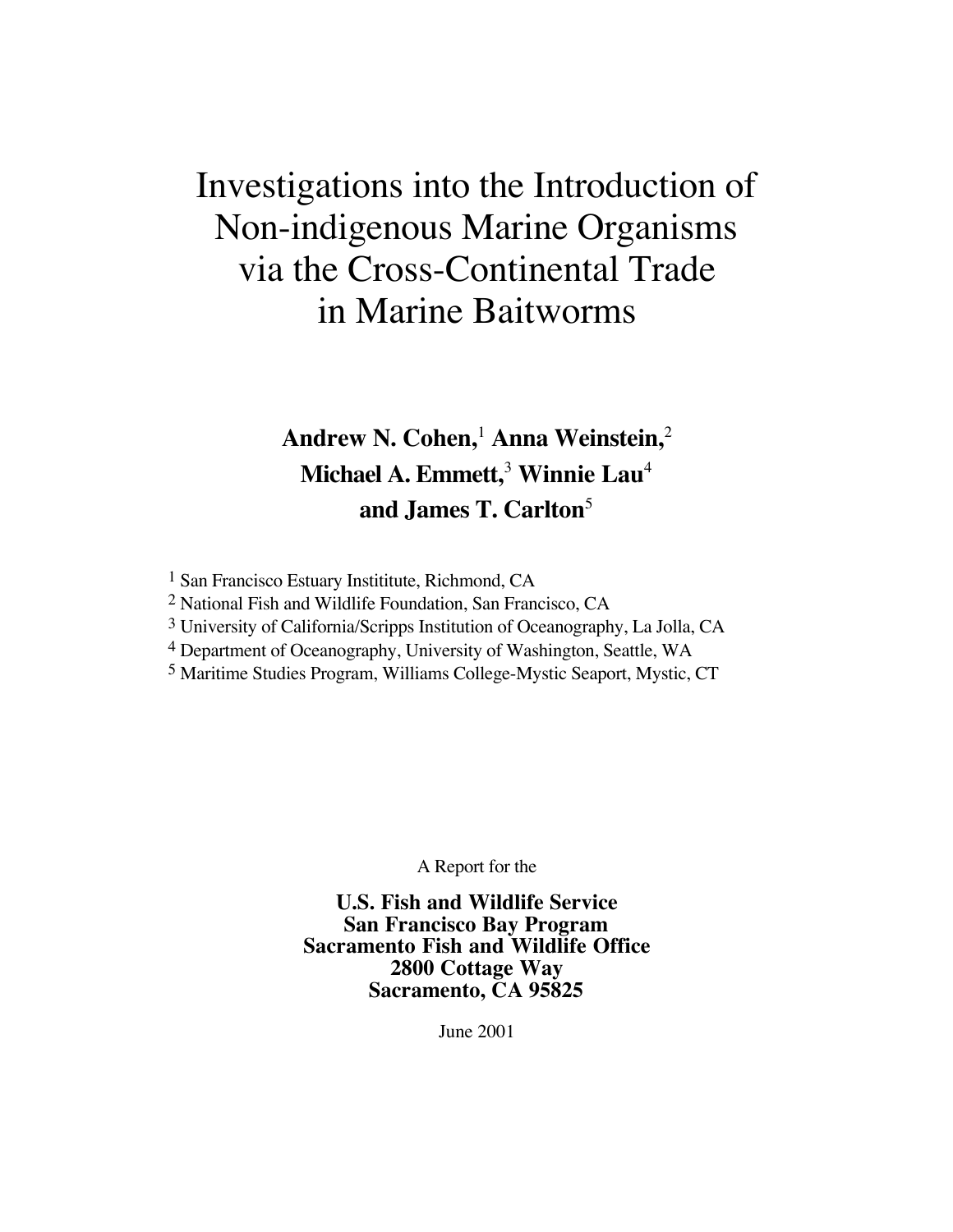# Investigations into the Introduction of Non-indigenous Marine Organisms via the Cross-Continental Trade in Marine Baitworms

## **Andrew N. Cohen,**<sup>1</sup>  **Anna Weinstein,**<sup>2</sup> **Michael A. Emmett,**<sup>3</sup>  **Winnie Lau**<sup>4</sup> **and James T. Carlton**<sup>5</sup>

1 San Francisco Estuary Instititute, Richmond, CA

2 National Fish and Wildlife Foundation, San Francisco, CA

3 University of California/Scripps Institution of Oceanography, La Jolla, CA

4 Department of Oceanography, University of Washington, Seattle, WA

5 Maritime Studies Program, Williams College-Mystic Seaport, Mystic, CT

A Report for the

**U.S. Fish and Wildlife Service San Francisco Bay Program Sacramento Fish and Wildlife Office 2800 Cottage Way Sacramento, CA 95825**

June 2001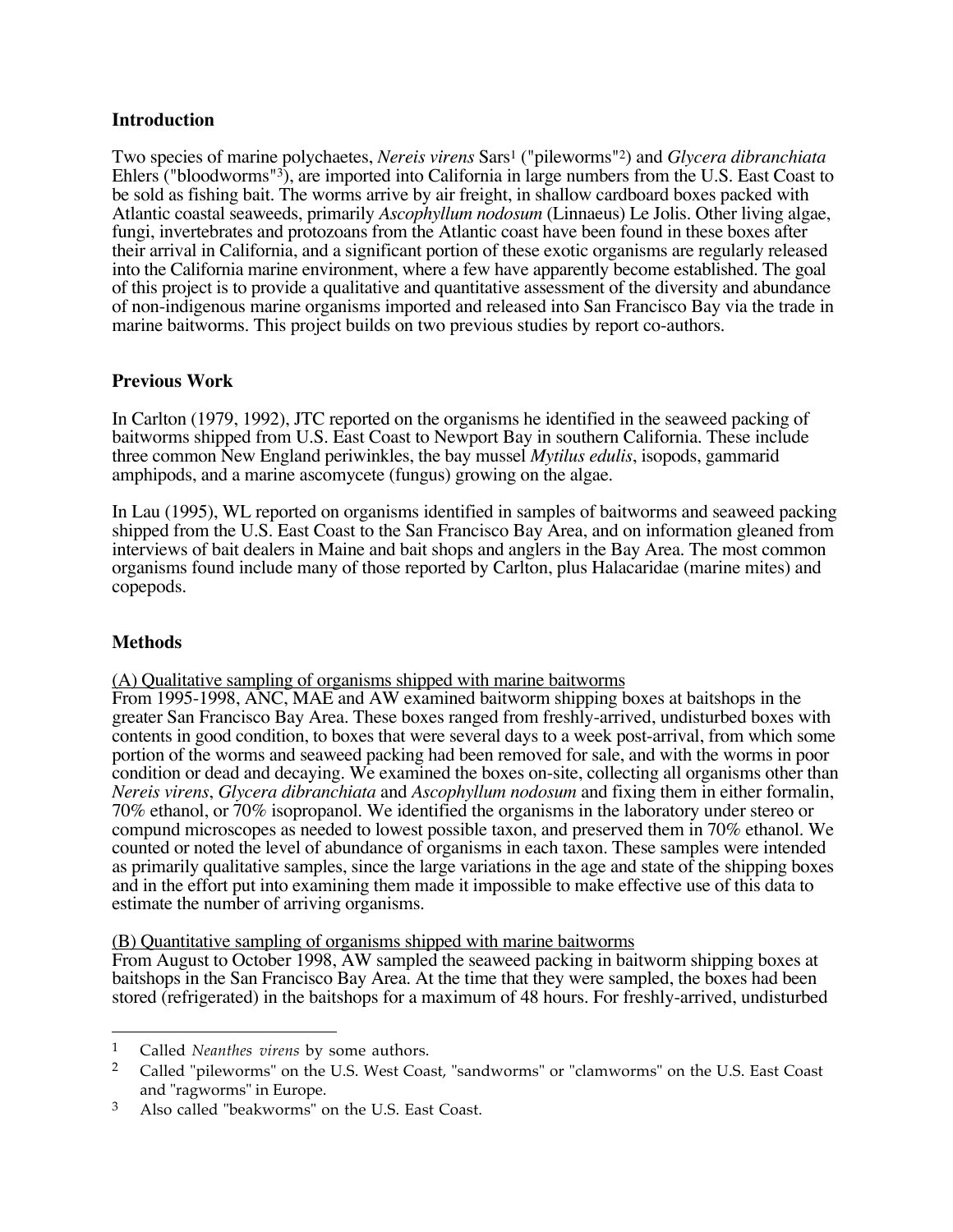### **Introduction**

Two species of marine polychaetes, *Nereis virens* Sars1 ("pileworms"2) and *Glycera dibranchiata* Ehlers ("bloodworms"3), are imported into California in large numbers from the U.S. East Coast to be sold as fishing bait. The worms arrive by air freight, in shallow cardboard boxes packed with Atlantic coastal seaweeds, primarily *Ascophyllum nodosum* (Linnaeus) Le Jolis. Other living algae, fungi, invertebrates and protozoans from the Atlantic coast have been found in these boxes after their arrival in California, and a significant portion of these exotic organisms are regularly released into the California marine environment, where a few have apparently become established. The goal of this project is to provide a qualitative and quantitative assessment of the diversity and abundance of non-indigenous marine organisms imported and released into San Francisco Bay via the trade in marine baitworms. This project builds on two previous studies by report co-authors.

### **Previous Work**

In Carlton (1979, 1992), JTC reported on the organisms he identified in the seaweed packing of baitworms shipped from U.S. East Coast to Newport Bay in southern California. These include three common New England periwinkles, the bay mussel *Mytilus edulis*, isopods, gammarid amphipods, and a marine ascomycete (fungus) growing on the algae.

In Lau (1995), WL reported on organisms identified in samples of baitworms and seaweed packing shipped from the U.S. East Coast to the San Francisco Bay Area, and on information gleaned from interviews of bait dealers in Maine and bait shops and anglers in the Bay Area. The most common organisms found include many of those reported by Carlton, plus Halacaridae (marine mites) and copepods.

### **Methods**

 $\overline{a}$ 

(A) Qualitative sampling of organisms shipped with marine baitworms

From 1995-1998, ANC, MAE and AW examined baitworm shipping boxes at baitshops in the greater San Francisco Bay Area. These boxes ranged from freshly-arrived, undisturbed boxes with contents in good condition, to boxes that were several days to a week post-arrival, from which some portion of the worms and seaweed packing had been removed for sale, and with the worms in poor condition or dead and decaying. We examined the boxes on-site, collecting all organisms other than *Nereis virens*, *Glycera dibranchiata* and *Ascophyllum nodosum* and fixing them in either formalin, 70% ethanol, or 70% isopropanol. We identified the organisms in the laboratory under stereo or compund microscopes as needed to lowest possible taxon, and preserved them in 70% ethanol. We counted or noted the level of abundance of organisms in each taxon. These samples were intended as primarily qualitative samples, since the large variations in the age and state of the shipping boxes and in the effort put into examining them made it impossible to make effective use of this data to estimate the number of arriving organisms.

### (B) Quantitative sampling of organisms shipped with marine baitworms

From August to October 1998, AW sampled the seaweed packing in baitworm shipping boxes at baitshops in the San Francisco Bay Area. At the time that they were sampled, the boxes had been stored (refrigerated) in the baitshops for a maximum of 48 hours. For freshly-arrived, undisturbed

<sup>1</sup> Called *Neanthes virens* by some authors.

<sup>&</sup>lt;sup>2</sup> Called "pileworms" on the U.S. West Coast, "sandworms" or "clamworms" on the U.S. East Coast and "ragworms" in Europe.

<sup>3</sup> Also called "beakworms" on the U.S. East Coast.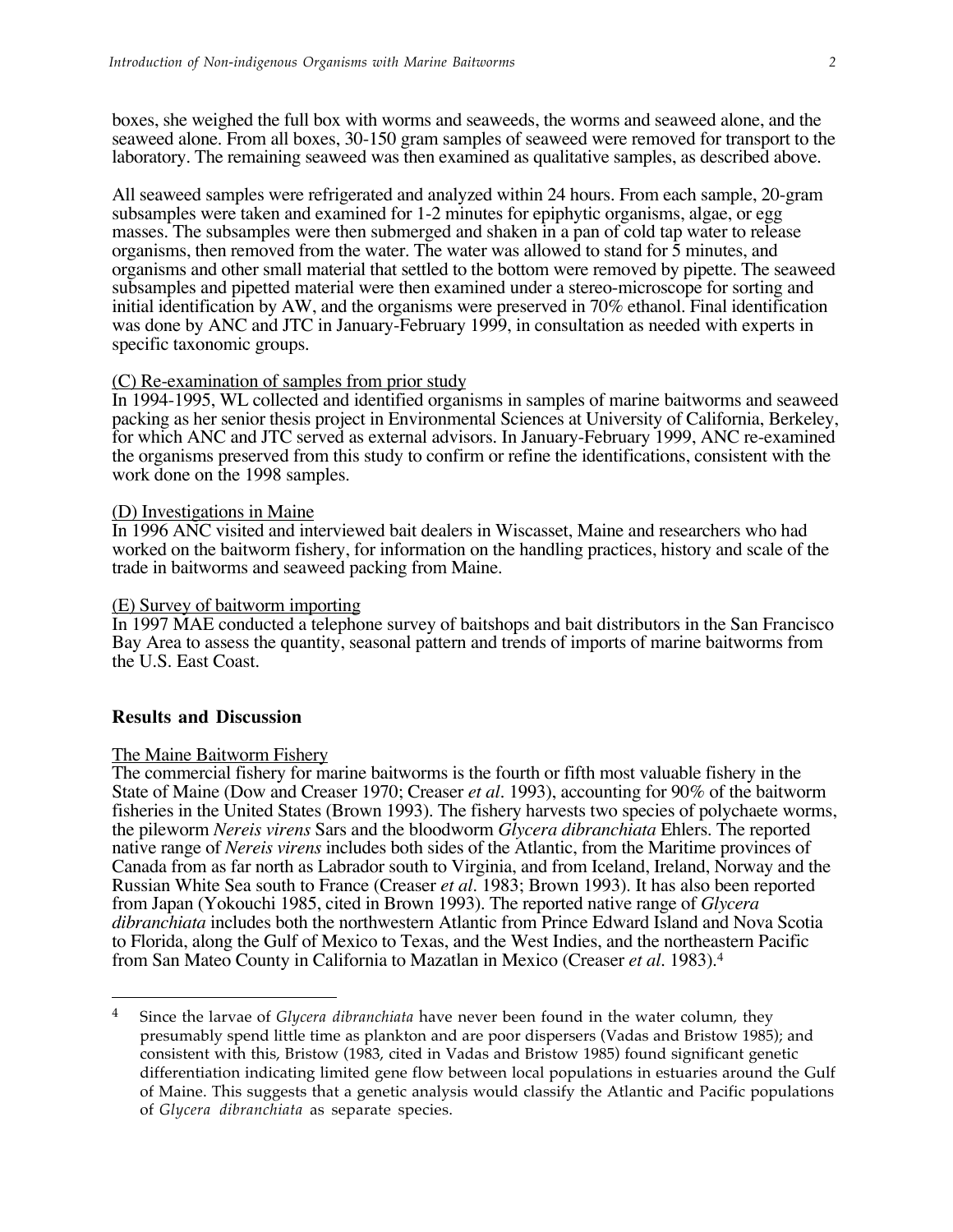boxes, she weighed the full box with worms and seaweeds, the worms and seaweed alone, and the seaweed alone. From all boxes, 30-150 gram samples of seaweed were removed for transport to the laboratory. The remaining seaweed was then examined as qualitative samples, as described above.

All seaweed samples were refrigerated and analyzed within 24 hours. From each sample, 20-gram subsamples were taken and examined for 1-2 minutes for epiphytic organisms, algae, or egg masses. The subsamples were then submerged and shaken in a pan of cold tap water to release organisms, then removed from the water. The water was allowed to stand for 5 minutes, and organisms and other small material that settled to the bottom were removed by pipette. The seaweed subsamples and pipetted material were then examined under a stereo-microscope for sorting and initial identification by AW, and the organisms were preserved in 70% ethanol. Final identification was done by ANC and JTC in January-February 1999, in consultation as needed with experts in specific taxonomic groups.

### (C) Re-examination of samples from prior study

In 1994-1995, WL collected and identified organisms in samples of marine baitworms and seaweed packing as her senior thesis project in Environmental Sciences at University of California, Berkeley, for which ANC and JTC served as external advisors. In January-February 1999, ANC re-examined the organisms preserved from this study to confirm or refine the identifications, consistent with the work done on the 1998 samples.

### (D) Investigations in Maine

In 1996 ANC visited and interviewed bait dealers in Wiscasset, Maine and researchers who had worked on the baitworm fishery, for information on the handling practices, history and scale of the trade in baitworms and seaweed packing from Maine.

### (E) Survey of baitworm importing

In 1997 MAE conducted a telephone survey of baitshops and bait distributors in the San Francisco Bay Area to assess the quantity, seasonal pattern and trends of imports of marine baitworms from the U.S. East Coast.

### **Results and Discussion**

 $\overline{a}$ 

### The Maine Baitworm Fishery

The commercial fishery for marine baitworms is the fourth or fifth most valuable fishery in the State of Maine (Dow and Creaser 1970; Creaser *et al.* 1993), accounting for 90% of the baitworm fisheries in the United States (Brown 1993). The fishery harvests two species of polychaete worms, the pileworm *Nereis virens* Sars and the bloodworm *Glycera dibranchiata* Ehlers. The reported native range of *Nereis virens* includes both sides of the Atlantic, from the Maritime provinces of Canada from as far north as Labrador south to Virginia, and from Iceland, Ireland, Norway and the Russian White Sea south to France (Creaser *et al.* 1983; Brown 1993). It has also been reported from Japan (Yokouchi 1985, cited in Brown 1993). The reported native range of *Glycera dibranchiata* includes both the northwestern Atlantic from Prince Edward Island and Nova Scotia to Florida, along the Gulf of Mexico to Texas, and the West Indies, and the northeastern Pacific from San Mateo County in California to Mazatlan in Mexico (Creaser *et al.* 1983).4

<sup>&</sup>lt;sup>4</sup> Since the larvae of *Glycera dibranchiata* have never been found in the water column, they presumably spend little time as plankton and are poor dispersers (Vadas and Bristow 1985); and consistent with this, Bristow (1983, cited in Vadas and Bristow 1985) found significant genetic differentiation indicating limited gene flow between local populations in estuaries around the Gulf of Maine. This suggests that a genetic analysis would classify the Atlantic and Pacific populations of *Glycera dibranchiata* as separate species.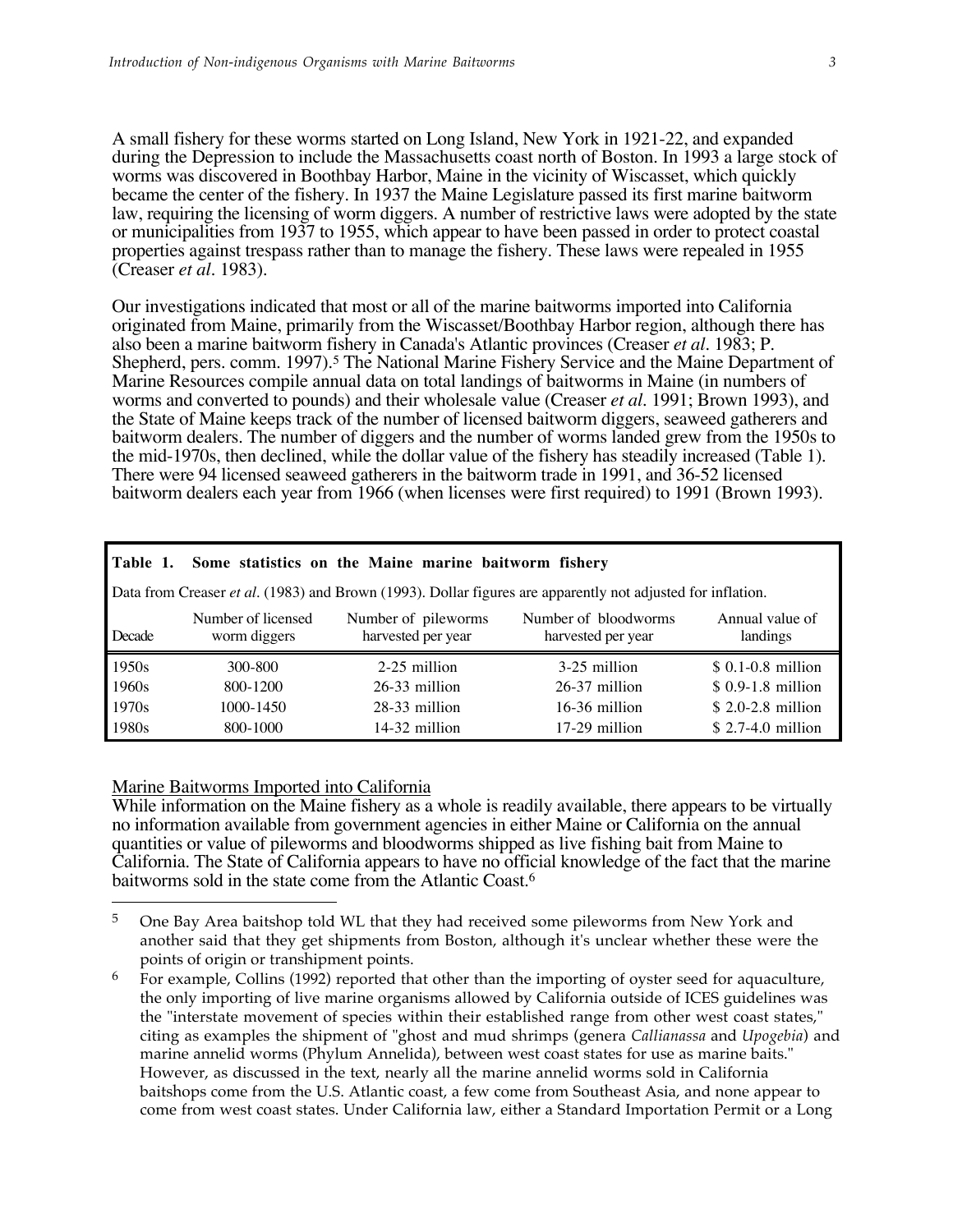A small fishery for these worms started on Long Island, New York in 1921-22, and expanded during the Depression to include the Massachusetts coast north of Boston. In 1993 a large stock of worms was discovered in Boothbay Harbor, Maine in the vicinity of Wiscasset, which quickly became the center of the fishery. In 1937 the Maine Legislature passed its first marine baitworm law, requiring the licensing of worm diggers. A number of restrictive laws were adopted by the state or municipalities from 1937 to 1955, which appear to have been passed in order to protect coastal properties against trespass rather than to manage the fishery. These laws were repealed in 1955 (Creaser *et al.* 1983).

Our investigations indicated that most or all of the marine baitworms imported into California originated from Maine, primarily from the Wiscasset/Boothbay Harbor region, although there has also been a marine baitworm fishery in Canada's Atlantic provinces (Creaser *et al.* 1983; P. Shepherd, pers. comm. 1997).<sup>5</sup> The National Marine Fishery Service and the Maine Department of Marine Resources compile annual data on total landings of baitworms in Maine (in numbers of worms and converted to pounds) and their wholesale value (Creaser *et al.* 1991; Brown 1993), and the State of Maine keeps track of the number of licensed baitworm diggers, seaweed gatherers and baitworm dealers. The number of diggers and the number of worms landed grew from the 1950s to the mid-1970s, then declined, while the dollar value of the fishery has steadily increased (Table 1). There were 94 licensed seaweed gatherers in the baitworm trade in 1991, and 36-52 licensed baitworm dealers each year from 1966 (when licenses were first required) to 1991 (Brown 1993).

| Table 1.                                                                                                                                                               |           | Some statistics on the Maine marine baitworm fishery |                 |                    |  |  |  |  |  |
|------------------------------------------------------------------------------------------------------------------------------------------------------------------------|-----------|------------------------------------------------------|-----------------|--------------------|--|--|--|--|--|
| Data from Creaser et al. (1983) and Brown (1993). Dollar figures are apparently not adjusted for inflation.                                                            |           |                                                      |                 |                    |  |  |  |  |  |
| Annual value of<br>Number of pileworms<br>Number of licensed<br>Number of bloodworms<br>harvested per year<br>Decade<br>worm diggers<br>harvested per year<br>landings |           |                                                      |                 |                    |  |  |  |  |  |
|                                                                                                                                                                        |           |                                                      |                 |                    |  |  |  |  |  |
| 1950s                                                                                                                                                                  | 300-800   | 2-25 million                                         | 3-25 million    | $$0.1-0.8$ million |  |  |  |  |  |
| 1960 <sub>s</sub>                                                                                                                                                      | 800-1200  | $26-33$ million                                      | 26-37 million   | $$0.9-1.8$ million |  |  |  |  |  |
| 1970 <sub>s</sub>                                                                                                                                                      | 1000-1450 | 28-33 million                                        | $16-36$ million | $$2.0-2.8$ million |  |  |  |  |  |

### Marine Baitworms Imported into California

 $\overline{a}$ 

While information on the Maine fishery as a whole is readily available, there appears to be virtually no information available from government agencies in either Maine or California on the annual quantities or value of pileworms and bloodworms shipped as live fishing bait from Maine to California. The State of California appears to have no official knowledge of the fact that the marine baitworms sold in the state come from the Atlantic Coast.6

<sup>&</sup>lt;sup>5</sup> One Bay Area baitshop told WL that they had received some pileworms from New York and another said that they get shipments from Boston, although it's unclear whether these were the points of origin or transhipment points.

<sup>&</sup>lt;sup>6</sup> For example, Collins (1992) reported that other than the importing of oyster seed for aquaculture, the only importing of live marine organisms allowed by California outside of ICES guidelines was the "interstate movement of species within their established range from other west coast states," citing as examples the shipment of "ghost and mud shrimps (genera *Callianassa* and *Upogebia*) and marine annelid worms (Phylum Annelida), between west coast states for use as marine baits." However, as discussed in the text, nearly all the marine annelid worms sold in California baitshops come from the U.S. Atlantic coast, a few come from Southeast Asia, and none appear to come from west coast states. Under California law, either a Standard Importation Permit or a Long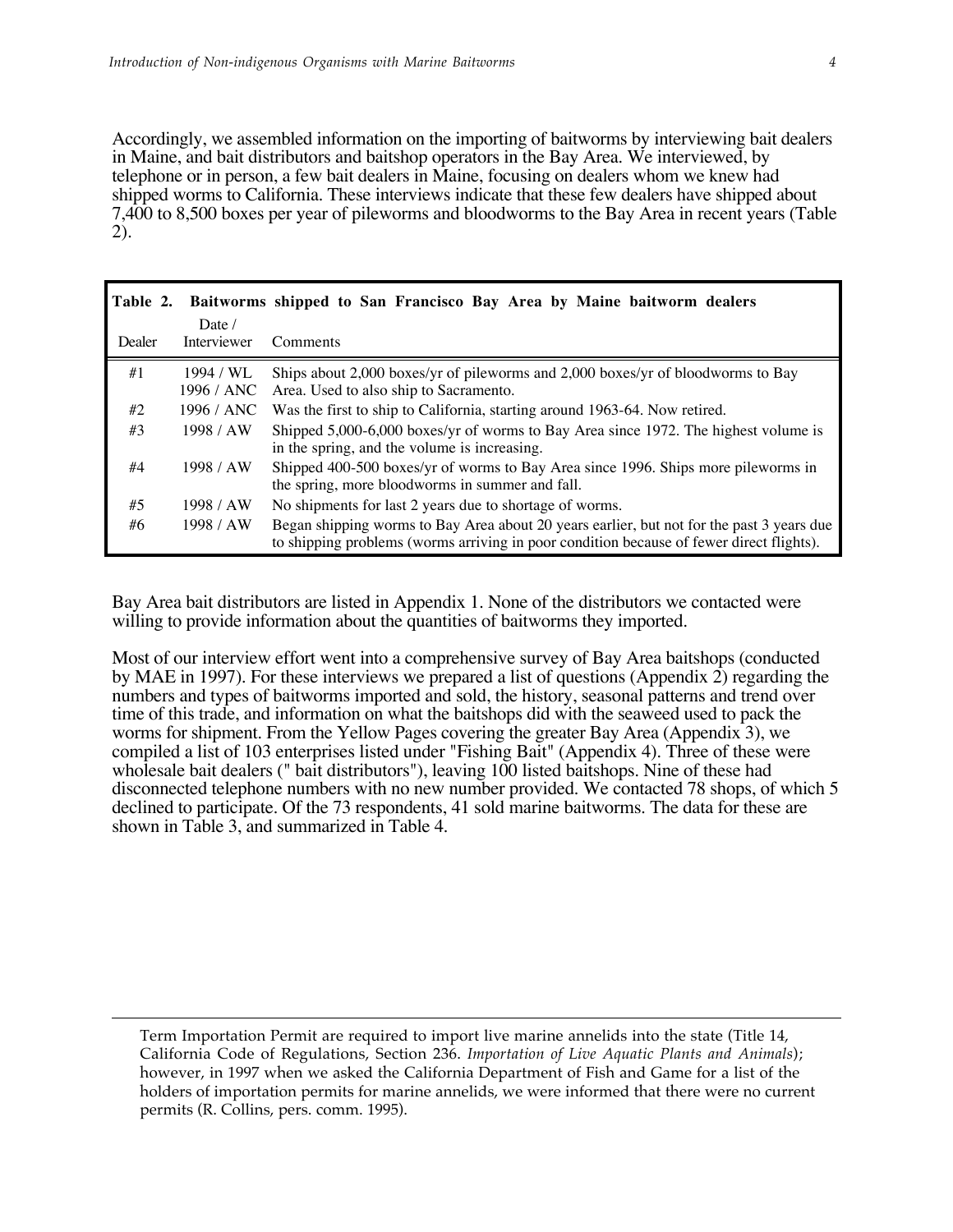Accordingly, we assembled information on the importing of baitworms by interviewing bait dealers in Maine, and bait distributors and baitshop operators in the Bay Area. We interviewed, by telephone or in person, a few bait dealers in Maine, focusing on dealers whom we knew had shipped worms to California. These interviews indicate that these few dealers have shipped about 7,400 to 8,500 boxes per year of pileworms and bloodworms to the Bay Area in recent years (Table 2).

| Table 2. |             | Baitworms shipped to San Francisco Bay Area by Maine baitworm dealers                                                                                                                 |
|----------|-------------|---------------------------------------------------------------------------------------------------------------------------------------------------------------------------------------|
|          | Date /      |                                                                                                                                                                                       |
| Dealer   | Interviewer | Comments                                                                                                                                                                              |
| #1       | 1994 / WL   | Ships about 2,000 boxes/yr of pileworms and 2,000 boxes/yr of bloodworms to Bay                                                                                                       |
|          | 1996 / ANC  | Area. Used to also ship to Sacramento.                                                                                                                                                |
| #2       | 1996 / ANC  | Was the first to ship to California, starting around 1963-64. Now retired.                                                                                                            |
| #3       | 1998 / AW   | Shipped 5,000-6,000 boxes/yr of worms to Bay Area since 1972. The highest volume is<br>in the spring, and the volume is increasing.                                                   |
| #4       | 1998 / AW   | Shipped 400-500 boxes/yr of worms to Bay Area since 1996. Ships more pileworms in<br>the spring, more bloodworms in summer and fall.                                                  |
| #5       | 1998 / AW   | No shipments for last 2 years due to shortage of worms.                                                                                                                               |
| #6       | 1998 / AW   | Began shipping worms to Bay Area about 20 years earlier, but not for the past 3 years due<br>to shipping problems (worms arriving in poor condition because of fewer direct flights). |

Bay Area bait distributors are listed in Appendix 1. None of the distributors we contacted were willing to provide information about the quantities of baitworms they imported.

Most of our interview effort went into a comprehensive survey of Bay Area baitshops (conducted by MAE in 1997). For these interviews we prepared a list of questions (Appendix 2) regarding the numbers and types of baitworms imported and sold, the history, seasonal patterns and trend over time of this trade, and information on what the baitshops did with the seaweed used to pack the worms for shipment. From the Yellow Pages covering the greater Bay Area (Appendix 3), we compiled a list of 103 enterprises listed under "Fishing Bait" (Appendix 4). Three of these were wholesale bait dealers (" bait distributors"), leaving 100 listed baitshops. Nine of these had disconnected telephone numbers with no new number provided. We contacted 78 shops, of which 5 declined to participate. Of the 73 respondents, 41 sold marine baitworms. The data for these are shown in Table 3, and summarized in Table 4.

Term Importation Permit are required to import live marine annelids into the state (Title 14, California Code of Regulations, Section 236. *Importation of Live Aquatic Plants and Animals*); however, in 1997 when we asked the California Department of Fish and Game for a list of the holders of importation permits for marine annelids, we were informed that there were no current permits (R. Collins, pers. comm. 1995).

 $\overline{a}$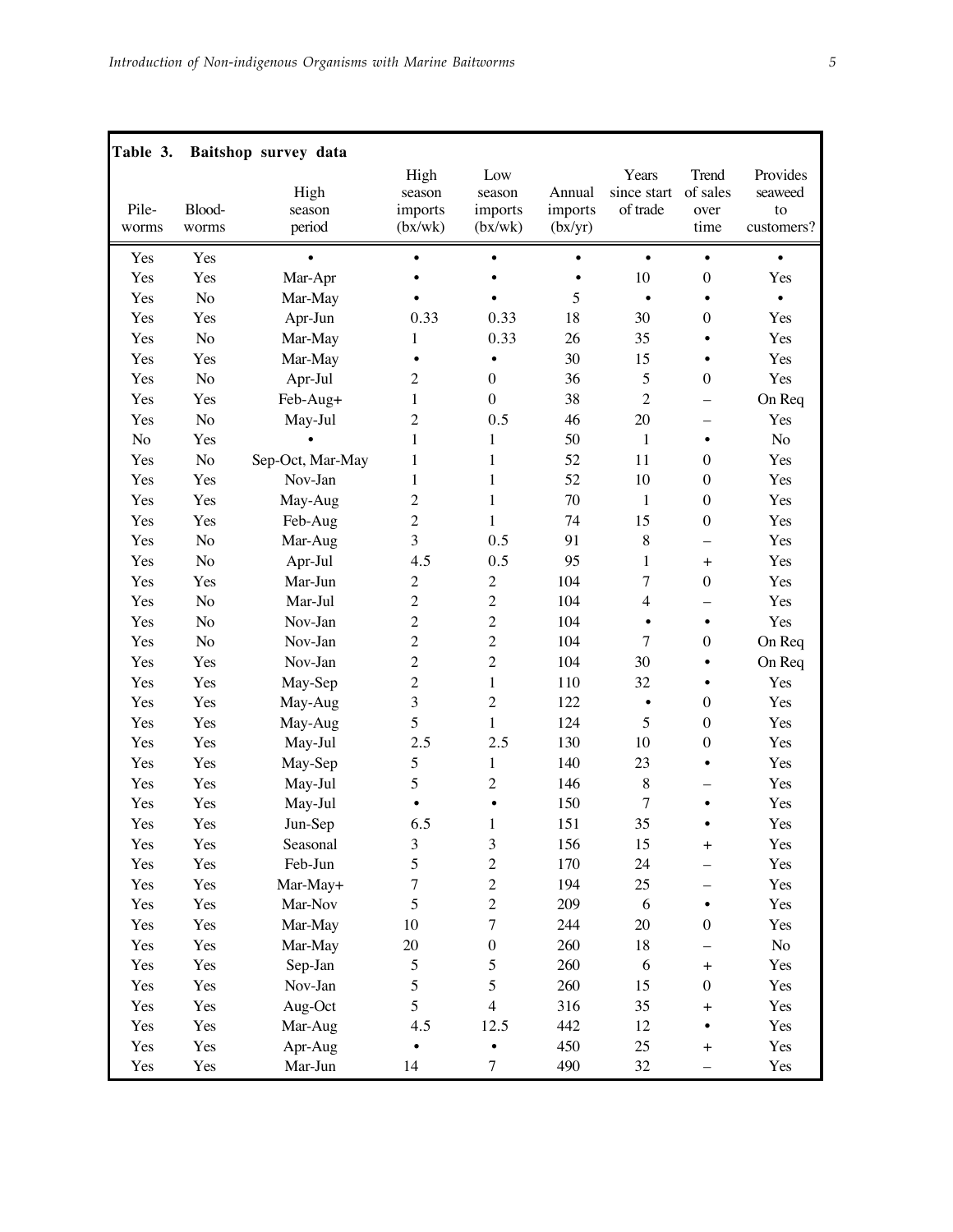| Table 3.       |                 | Baitshop survey data     |                                      |                                     |                              |                                  |                                   |                                         |
|----------------|-----------------|--------------------------|--------------------------------------|-------------------------------------|------------------------------|----------------------------------|-----------------------------------|-----------------------------------------|
| Pile-<br>worms | Blood-<br>worms | High<br>season<br>period | High<br>season<br>imports<br>(bx/wk) | Low<br>season<br>imports<br>(bx/wk) | Annual<br>imports<br>(bx/yr) | Years<br>since start<br>of trade | Trend<br>of sales<br>over<br>time | Provides<br>seaweed<br>to<br>customers? |
| Yes            | Yes             |                          | $\bullet$                            | $\bullet$                           | $\bullet$                    | $\bullet$                        | $\bullet$                         | $\bullet$                               |
| Yes            | Yes             | Mar-Apr                  |                                      |                                     | $\bullet$                    | 10                               | $\boldsymbol{0}$                  | Yes                                     |
| Yes            | No              | Mar-May                  |                                      |                                     | 5                            | $\bullet$                        |                                   |                                         |
| Yes            | Yes             | Apr-Jun                  | 0.33                                 | 0.33                                | 18                           | 30                               | $\boldsymbol{0}$                  | Yes                                     |
| Yes            | No              | Mar-May                  | 1                                    | 0.33                                | 26                           | 35                               | $\bullet$                         | Yes                                     |
| Yes            | Yes             | Mar-May                  | $\bullet$                            | $\bullet$                           | 30                           | 15                               | $\bullet$                         | Yes                                     |
| Yes            | No              | Apr-Jul                  | $\overline{2}$                       | $\boldsymbol{0}$                    | 36                           | 5                                | $\boldsymbol{0}$                  | Yes                                     |
| Yes            | Yes             | Feb-Aug+                 | $\mathbf{1}$                         | $\boldsymbol{0}$                    | 38                           | $\sqrt{2}$                       | $\overline{\phantom{0}}$          | On Req                                  |
| Yes            | No              | May-Jul                  | $\overline{c}$                       | 0.5                                 | 46                           | $20\,$                           | -                                 | Yes                                     |
| No             | Yes             |                          | $\mathbf{1}$                         | $\mathbf{1}$                        | 50                           | $\mathbf{1}$                     | $\bullet$                         | No                                      |
| Yes            | No              | Sep-Oct, Mar-May         | $\mathbf{1}$                         | 1                                   | 52                           | 11                               | $\boldsymbol{0}$                  | Yes                                     |
| Yes            | Yes             | Nov-Jan                  | $\mathbf{1}$                         | $\mathbf{1}$                        | 52                           | 10                               | $\boldsymbol{0}$                  | Yes                                     |
| Yes            | Yes             | May-Aug                  | $\mathbf 2$                          | $\mathbf{1}$                        | 70                           | $\mathbf{1}$                     | $\boldsymbol{0}$                  | Yes                                     |
| Yes            | Yes             | Feb-Aug                  | $\overline{c}$                       | $\mathbf{1}$                        | 74                           | 15                               | $\boldsymbol{0}$                  | Yes                                     |
| Yes            | No              | Mar-Aug                  | 3                                    | 0.5                                 | 91                           | 8                                | -                                 | Yes                                     |
| Yes            | No              | Apr-Jul                  | 4.5                                  | 0.5                                 | 95                           | $\mathbf{1}$                     | $\ddot{}$                         | Yes                                     |
| Yes            | Yes             | Mar-Jun                  | $\sqrt{2}$                           | $\sqrt{2}$                          | 104                          | 7                                | $\boldsymbol{0}$                  | Yes                                     |
| Yes            | No              | Mar-Jul                  | $\overline{2}$                       | $\overline{2}$                      | 104                          | 4                                |                                   | Yes                                     |
| Yes            | No              | Nov-Jan                  | $\overline{2}$                       | $\overline{2}$                      | 104                          | $\bullet$                        | $\bullet$                         | Yes                                     |
| Yes            | No              | Nov-Jan                  | $\overline{c}$                       | $\overline{c}$                      | 104                          | 7                                | $\boldsymbol{0}$                  | On Req                                  |
| Yes            | Yes             | Nov-Jan                  | $\overline{c}$                       | $\overline{2}$                      | 104                          | 30                               |                                   | On Req                                  |
| Yes            | Yes             | May-Sep                  | $\overline{c}$                       | $\,1$                               | 110                          | 32                               | $\bullet$                         | Yes                                     |
| Yes            | Yes             | May-Aug                  | $\overline{\mathbf{3}}$              | $\overline{c}$                      | 122                          | $\bullet$                        | $\boldsymbol{0}$                  | Yes                                     |
| Yes            | Yes             | May-Aug                  | 5                                    | $\mathbf{1}$                        | 124                          | 5                                | $\mathbf{0}$                      | Yes                                     |
| Yes            | Yes             | May-Jul                  | 2.5                                  | 2.5                                 | 130                          | 10                               | $\boldsymbol{0}$                  | Yes                                     |
| Yes            | Yes             | May-Sep                  | 5                                    | $\mathbf{1}$                        | 140                          | 23                               | $\bullet$                         | Yes                                     |
| Yes            | Yes             | May-Jul                  | 5                                    | $\overline{c}$                      | 146                          | 8                                |                                   | Yes                                     |
| Yes            | Yes             | May-Jul                  |                                      | $\bullet$                           | 150                          | 7                                | $\bullet$                         | Yes                                     |
| Yes            | Yes             | Jun-Sep                  | 6.5                                  | 1                                   | 151                          | 35                               | $\bullet$                         | Yes                                     |
| Yes            | Yes             | Seasonal                 | $\mathfrak{Z}$                       | $\mathfrak{Z}$                      | 156                          | 15                               | $+$                               | Yes                                     |
| Yes            | Yes             | Feb-Jun                  | 5                                    | $\overline{c}$                      | 170                          | 24                               |                                   | Yes                                     |
| Yes            | Yes             | Mar-May+                 | $\overline{7}$                       | $\overline{c}$                      | 194                          | 25                               |                                   | Yes                                     |
| Yes            | Yes             | Mar-Nov                  | 5                                    | $\sqrt{2}$                          | 209                          | 6                                |                                   | Yes                                     |
| Yes            | Yes             | Mar-May                  | $10\,$                               | $\overline{7}$                      | 244                          | 20                               | $\mathbf{0}$                      | Yes                                     |
| Yes            | Yes             | Mar-May                  | $20\,$                               | $\boldsymbol{0}$                    | 260                          | $18\,$                           |                                   | No                                      |
| Yes            | Yes             | Sep-Jan                  | 5                                    | 5                                   | 260                          | $\sqrt{6}$                       | $\ddot{}$                         | Yes                                     |
| Yes            | Yes             | Nov-Jan                  | 5                                    | 5                                   | 260                          | 15                               | $\boldsymbol{0}$                  | Yes                                     |
| Yes            | Yes             | Aug-Oct                  | 5                                    | $\overline{4}$                      | 316                          | 35                               | $\pm$                             | Yes                                     |
| Yes            | Yes             | Mar-Aug                  | 4.5                                  | 12.5                                | 442                          | 12                               |                                   | Yes                                     |
| Yes            | Yes             | Apr-Aug                  |                                      | $\bullet$                           | 450                          | 25                               | $+$                               | Yes                                     |
| Yes            | Yes             | Mar-Jun                  | 14                                   | $\tau$                              | 490                          | 32                               |                                   | Yes                                     |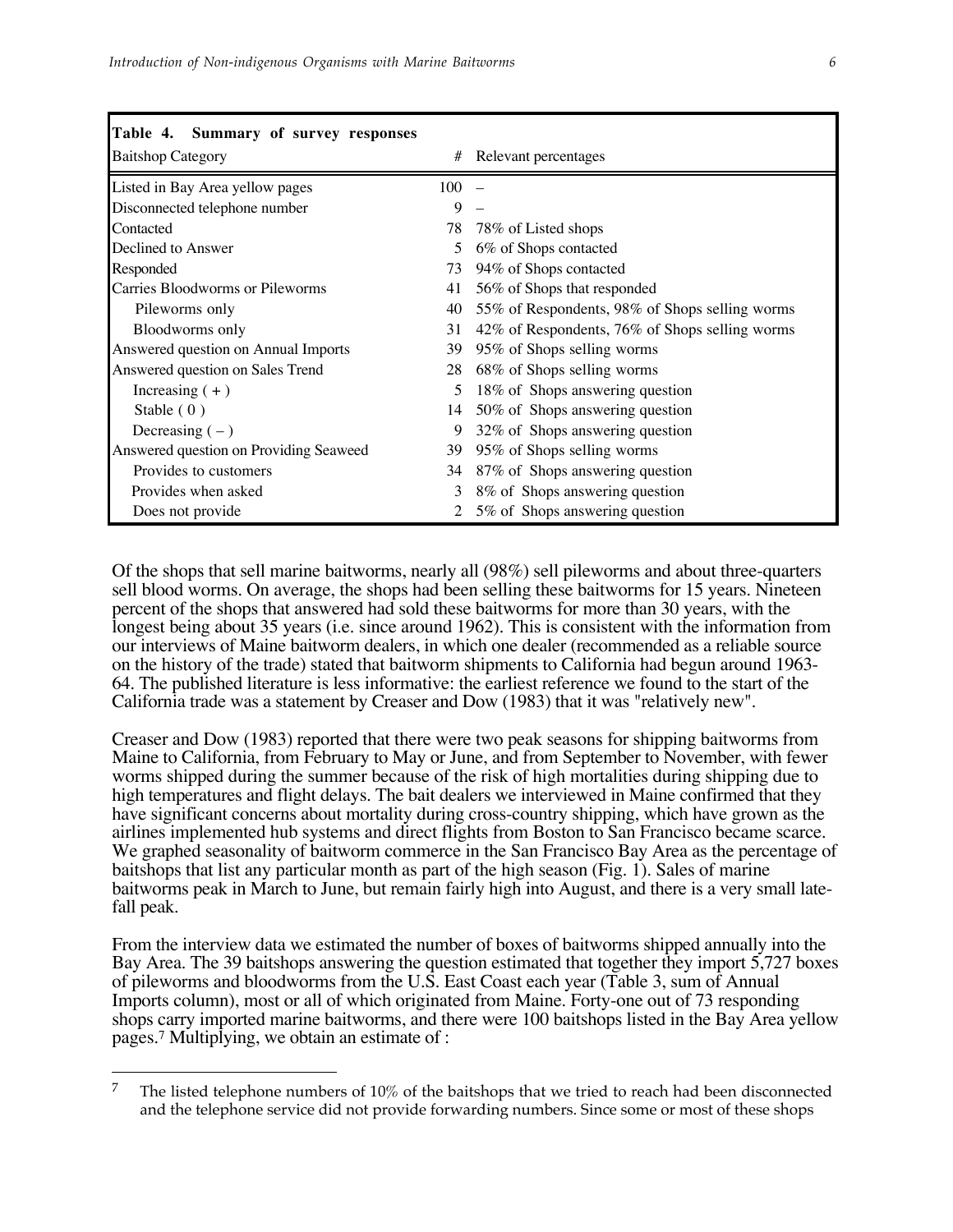| Table 4. Summary of survey responses   |     |                                                |
|----------------------------------------|-----|------------------------------------------------|
| <b>Baitshop Category</b>               | #   | Relevant percentages                           |
| Listed in Bay Area yellow pages        | 100 |                                                |
| Disconnected telephone number          | 9   |                                                |
| Contacted                              | 78  | 78% of Listed shops                            |
| Declined to Answer                     | 5.  | 6% of Shops contacted                          |
| Responded                              | 73  | 94% of Shops contacted                         |
| Carries Bloodworms or Pileworms        | 41  | 56% of Shops that responded                    |
| Pileworms only                         | 40  | 55% of Respondents, 98% of Shops selling worms |
| <b>Bloodworms</b> only                 | 31  | 42% of Respondents, 76% of Shops selling worms |
| Answered question on Annual Imports    | 39  | 95% of Shops selling worms                     |
| Answered question on Sales Trend       | 28  | 68% of Shops selling worms                     |
| Increasing $(+)$                       | 5.  | 18% of Shops answering question                |
| Stable $(0)$                           | 14  | 50% of Shops answering question                |
| Decreasing $(-)$                       | 9   | 32% of Shops answering question                |
| Answered question on Providing Seaweed | 39  | 95% of Shops selling worms                     |
| Provides to customers                  | 34  | 87% of Shops answering question                |
| Provides when asked                    | 3   | 8% of Shops answering question                 |
| Does not provide                       |     | 5% of Shops answering question                 |

Of the shops that sell marine baitworms, nearly all (98%) sell pileworms and about three-quarters sell blood worms. On average, the shops had been selling these baitworms for 15 years. Nineteen percent of the shops that answered had sold these baitworms for more than 30 years, with the longest being about 35 years (i.e. since around 1962). This is consistent with the information from our interviews of Maine baitworm dealers, in which one dealer (recommended as a reliable source on the history of the trade) stated that baitworm shipments to California had begun around 1963- 64. The published literature is less informative: the earliest reference we found to the start of the California trade was a statement by Creaser and Dow (1983) that it was "relatively new".

Creaser and Dow (1983) reported that there were two peak seasons for shipping baitworms from Maine to California, from February to May or June, and from September to November, with fewer worms shipped during the summer because of the risk of high mortalities during shipping due to high temperatures and flight delays. The bait dealers we interviewed in Maine confirmed that they have significant concerns about mortality during cross-country shipping, which have grown as the airlines implemented hub systems and direct flights from Boston to San Francisco became scarce. We graphed seasonality of baitworm commerce in the San Francisco Bay Area as the percentage of baitshops that list any particular month as part of the high season (Fig. 1). Sales of marine baitworms peak in March to June, but remain fairly high into August, and there is a very small latefall peak.

From the interview data we estimated the number of boxes of baitworms shipped annually into the Bay Area. The 39 baitshops answering the question estimated that together they import 5,727 boxes of pileworms and bloodworms from the U.S. East Coast each year (Table 3, sum of Annual Imports column), most or all of which originated from Maine. Forty-one out of 73 responding shops carry imported marine baitworms, and there were 100 baitshops listed in the Bay Area yellow pages.7 Multiplying, we obtain an estimate of :

 $\overline{a}$ 

<sup>&</sup>lt;sup>7</sup> The listed telephone numbers of  $10\%$  of the baitshops that we tried to reach had been disconnected and the telephone service did not provide forwarding numbers. Since some or most of these shops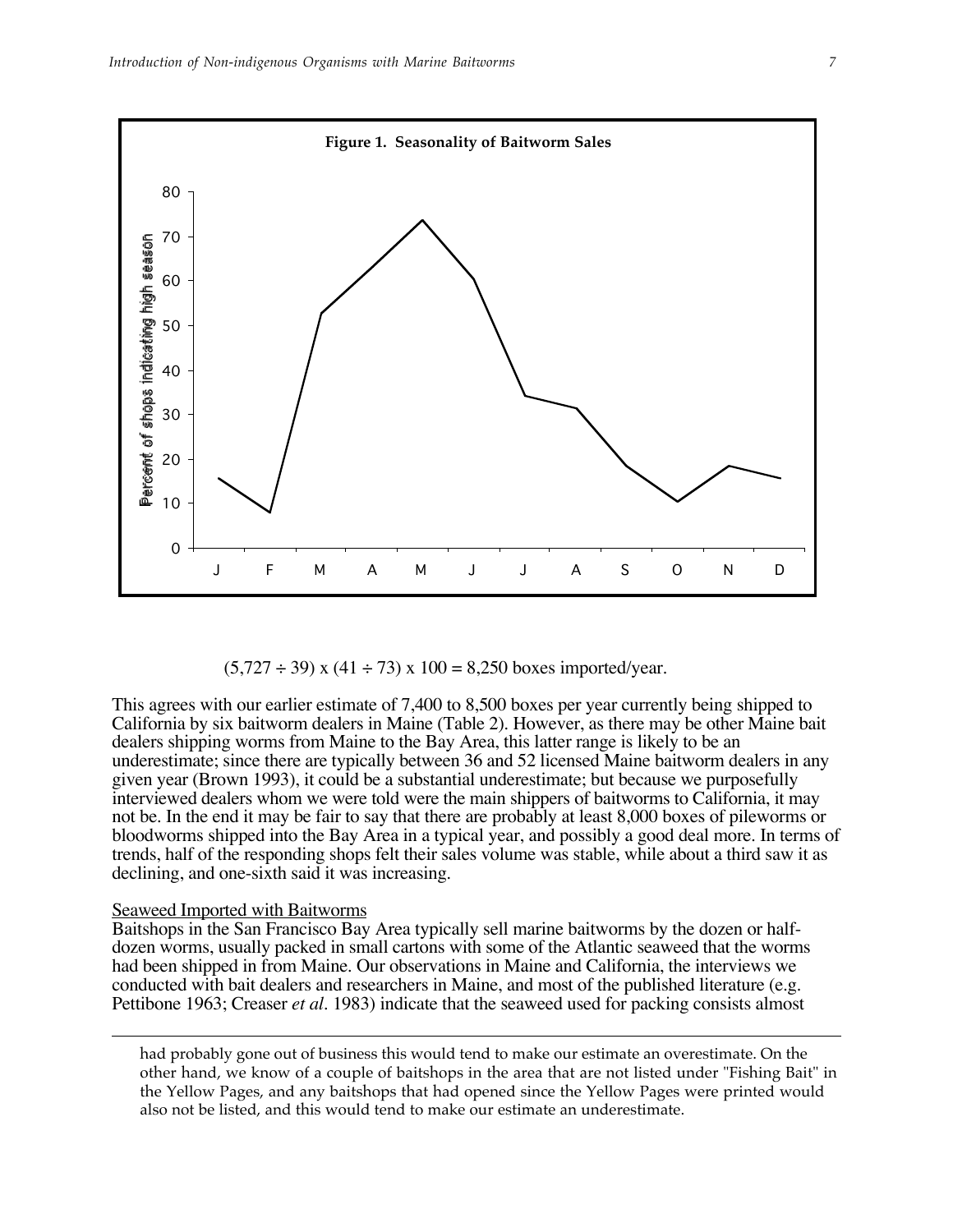

 $(5,727 \div 39)$  x  $(41 \div 73)$  x  $100 = 8,250$  boxes imported/year.

This agrees with our earlier estimate of 7,400 to 8,500 boxes per year currently being shipped to California by six baitworm dealers in Maine (Table 2). However, as there may be other Maine bait dealers shipping worms from Maine to the Bay Area, this latter range is likely to be an underestimate; since there are typically between 36 and 52 licensed Maine baitworm dealers in any given year (Brown 1993), it could be a substantial underestimate; but because we purposefully interviewed dealers whom we were told were the main shippers of baitworms to California, it may not be. In the end it may be fair to say that there are probably at least 8,000 boxes of pileworms or bloodworms shipped into the Bay Area in a typical year, and possibly a good deal more. In terms of trends, half of the responding shops felt their sales volume was stable, while about a third saw it as declining, and one-sixth said it was increasing.

### Seaweed Imported with Baitworms

 $\overline{a}$ 

Baitshops in the San Francisco Bay Area typically sell marine baitworms by the dozen or halfdozen worms, usually packed in small cartons with some of the Atlantic seaweed that the worms had been shipped in from Maine. Our observations in Maine and California, the interviews we conducted with bait dealers and researchers in Maine, and most of the published literature (e.g. Pettibone 1963; Creaser *et al.* 1983) indicate that the seaweed used for packing consists almost

had probably gone out of business this would tend to make our estimate an overestimate. On the other hand, we know of a couple of baitshops in the area that are not listed under "Fishing Bait" in the Yellow Pages, and any baitshops that had opened since the Yellow Pages were printed would also not be listed, and this would tend to make our estimate an underestimate.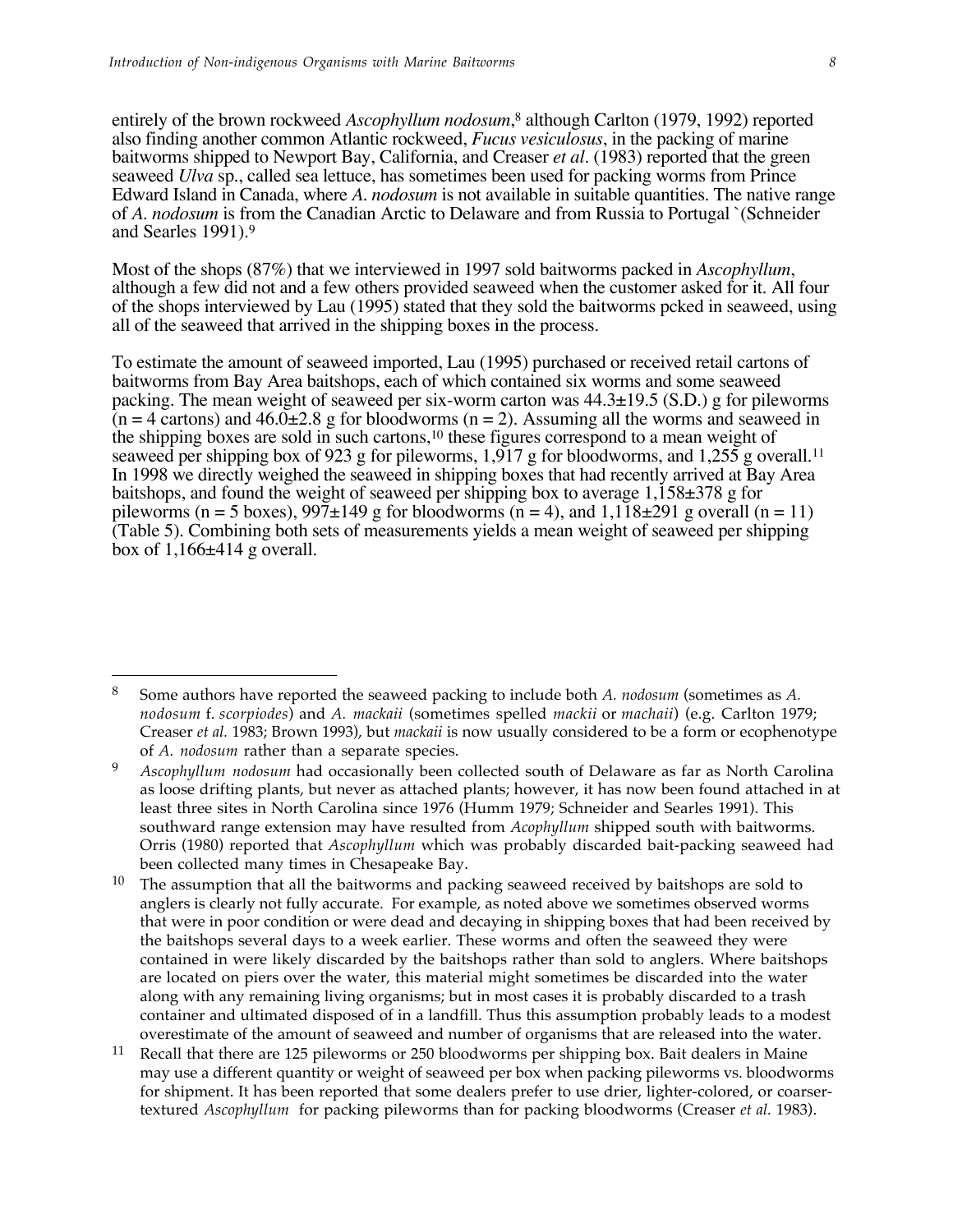$\overline{a}$ 

entirely of the brown rockweed *Ascophyllum nodosum*, 8 although Carlton (1979, 1992) reported also finding another common Atlantic rockweed, *Fucus vesiculosus*, in the packing of marine baitworms shipped to Newport Bay, California, and Creaser *et al.* (1983) reported that the green seaweed *Ulva* sp., called sea lettuce, has sometimes been used for packing worms from Prince Edward Island in Canada, where *A. nodosum* is not available in suitable quantities. The native range of *A. nodosum* is from the Canadian Arctic to Delaware and from Russia to Portugal `(Schneider and Searles 1991).9

Most of the shops (87%) that we interviewed in 1997 sold baitworms packed in *Ascophyllum*, although a few did not and a few others provided seaweed when the customer asked for it. All four of the shops interviewed by Lau (1995) stated that they sold the baitworms pcked in seaweed, using all of the seaweed that arrived in the shipping boxes in the process.

To estimate the amount of seaweed imported, Lau (1995) purchased or received retail cartons of baitworms from Bay Area baitshops, each of which contained six worms and some seaweed packing. The mean weight of seaweed per six-worm carton was 44.3±19.5 (S.D.) g for pileworms  $(n = 4$  cartons) and  $46.0\pm 2.8$  g for bloodworms (n = 2). Assuming all the worms and seaweed in the shipping boxes are sold in such cartons,10 these figures correspond to a mean weight of seaweed per shipping box of 923 g for pileworms, 1,917 g for bloodworms, and 1,255 g overall.<sup>11</sup> In 1998 we directly weighed the seaweed in shipping boxes that had recently arrived at Bay Area baitshops, and found the weight of seaweed per shipping box to average 1,158±378 g for pileworms (n = 5 boxes),  $997\pm149$  g for bloodworms (n = 4), and  $1,1\overline{18}\pm291$  g overall (n = 11) (Table 5). Combining both sets of measurements yields a mean weight of seaweed per shipping box of  $1,166\pm414$  g overall.

<sup>8</sup> Some authors have reported the seaweed packing to include both *A. nodosum* (sometimes as *A. nodosum* f. *scorpiodes*) and *A. mackaii* (sometimes spelled *mackii* or *machaii*) (e.g. Carlton 1979; Creaser *et al.* 1983; Brown 1993), but *mackaii* is now usually considered to be a form or ecophenotype of *A. nodosum* rather than a separate species.

<sup>9</sup> *Ascophyllum nodosum* had occasionally been collected south of Delaware as far as North Carolina as loose drifting plants, but never as attached plants; however, it has now been found attached in at least three sites in North Carolina since 1976 (Humm 1979; Schneider and Searles 1991). This southward range extension may have resulted from *Acophyllum* shipped south with baitworms. Orris (1980) reported that *Ascophyllum* which was probably discarded bait-packing seaweed had been collected many times in Chesapeake Bay.

The assumption that all the baitworms and packing seaweed received by baitshops are sold to anglers is clearly not fully accurate. For example, as noted above we sometimes observed worms that were in poor condition or were dead and decaying in shipping boxes that had been received by the baitshops several days to a week earlier. These worms and often the seaweed they were contained in were likely discarded by the baitshops rather than sold to anglers. Where baitshops are located on piers over the water, this material might sometimes be discarded into the water along with any remaining living organisms; but in most cases it is probably discarded to a trash container and ultimated disposed of in a landfill. Thus this assumption probably leads to a modest overestimate of the amount of seaweed and number of organisms that are released into the water.

<sup>11</sup> Recall that there are 125 pileworms or 250 bloodworms per shipping box. Bait dealers in Maine may use a different quantity or weight of seaweed per box when packing pileworms vs. bloodworms for shipment. It has been reported that some dealers prefer to use drier, lighter-colored, or coarsertextured *Ascophyllum* for packing pileworms than for packing bloodworms (Creaser *et al.* 1983).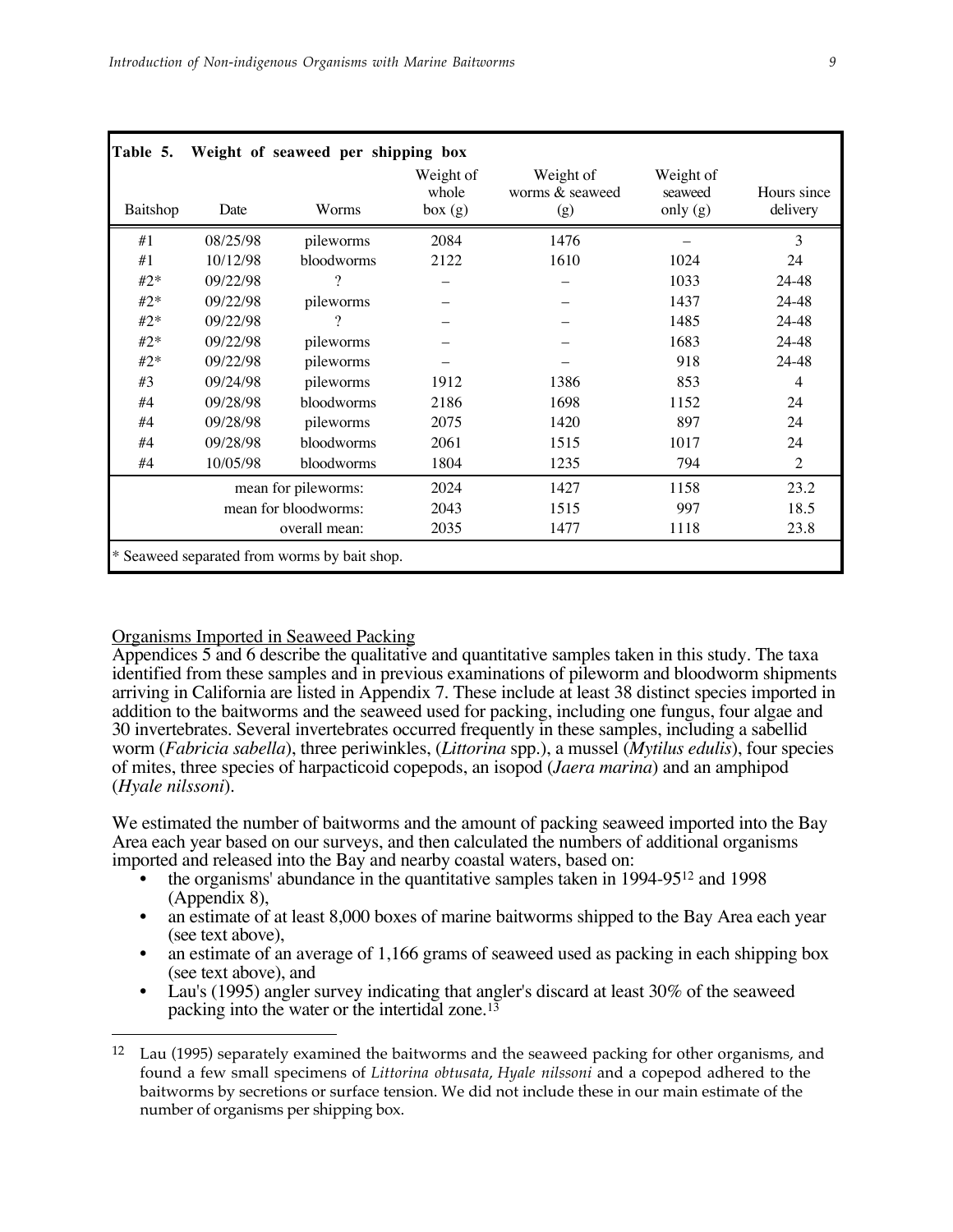| Baitshop | Date     | Worms                | Weight of<br>whole<br>box(g) | Weight of<br>worms & seaweed<br>(g) | Weight of<br>seaweed<br>only (g) | Hours since<br>delivery |
|----------|----------|----------------------|------------------------------|-------------------------------------|----------------------------------|-------------------------|
| #1       | 08/25/98 | pileworms            | 2084                         | 1476                                |                                  | 3                       |
| #1       | 10/12/98 | bloodworms           | 2122                         | 1610                                | 1024                             | 24                      |
| $#2*$    | 09/22/98 | 9                    |                              |                                     | 1033                             | 24-48                   |
| $#2*$    | 09/22/98 | pileworms            |                              |                                     | 1437                             | 24-48                   |
| $#2*$    | 09/22/98 | ?                    |                              |                                     | 1485                             | 24-48                   |
| $#2*$    | 09/22/98 | pileworms            |                              |                                     | 1683                             | 24-48                   |
| $#2*$    | 09/22/98 | pileworms            |                              |                                     | 918                              | 24-48                   |
| #3       | 09/24/98 | pileworms            | 1912                         | 1386                                | 853                              | 4                       |
| #4       | 09/28/98 | bloodworms           | 2186                         | 1698                                | 1152                             | 24                      |
| #4       | 09/28/98 | pileworms            | 2075                         | 1420                                | 897                              | 24                      |
| #4       | 09/28/98 | bloodworms           | 2061                         | 1515                                | 1017                             | 24                      |
| #4       | 10/05/98 | bloodworms           | 1804                         | 1235                                | 794                              | $\overline{2}$          |
|          |          | mean for pileworms:  | 2024                         | 1427                                | 1158                             | 23.2                    |
|          |          | mean for bloodworms: | 2043                         | 1515                                | 997                              | 18.5                    |
|          |          | overall mean:        | 2035                         | 1477                                | 1118                             | 23.8                    |

### Organisms Imported in Seaweed Packing

 $\overline{a}$ 

Appendices 5 and 6 describe the qualitative and quantitative samples taken in this study. The taxa identified from these samples and in previous examinations of pileworm and bloodworm shipments arriving in California are listed in Appendix 7. These include at least 38 distinct species imported in addition to the baitworms and the seaweed used for packing, including one fungus, four algae and 30 invertebrates. Several invertebrates occurred frequently in these samples, including a sabellid worm (*Fabricia sabella*), three periwinkles, (*Littorina* spp.), a mussel (*Mytilus edulis*), four species of mites, three species of harpacticoid copepods, an isopod (*Jaera marina*) and an amphipod (*Hyale nilssoni*).

We estimated the number of baitworms and the amount of packing seaweed imported into the Bay Area each year based on our surveys, and then calculated the numbers of additional organisms imported and released into the Bay and nearby coastal waters, based on:

- the organisms' abundance in the quantitative samples taken in 1994-9512 and 1998 (Appendix 8),
- an estimate of at least 8,000 boxes of marine baitworms shipped to the Bay Area each year (see text above), • an estimate of an average of 1,166 grams of seaweed used as packing in each shipping box
- (see text above), and Lau's (1995) angler survey indicating that angler's discard at least 30% of the seaweed
- packing into the water or the intertidal zone.13

<sup>&</sup>lt;sup>12</sup> Lau (1995) separately examined the baitworms and the seaweed packing for other organisms, and found a few small specimens of *Littorina obtusata*, *Hyale nilssoni* and a copepod adhered to the baitworms by secretions or surface tension. We did not include these in our main estimate of the number of organisms per shipping box.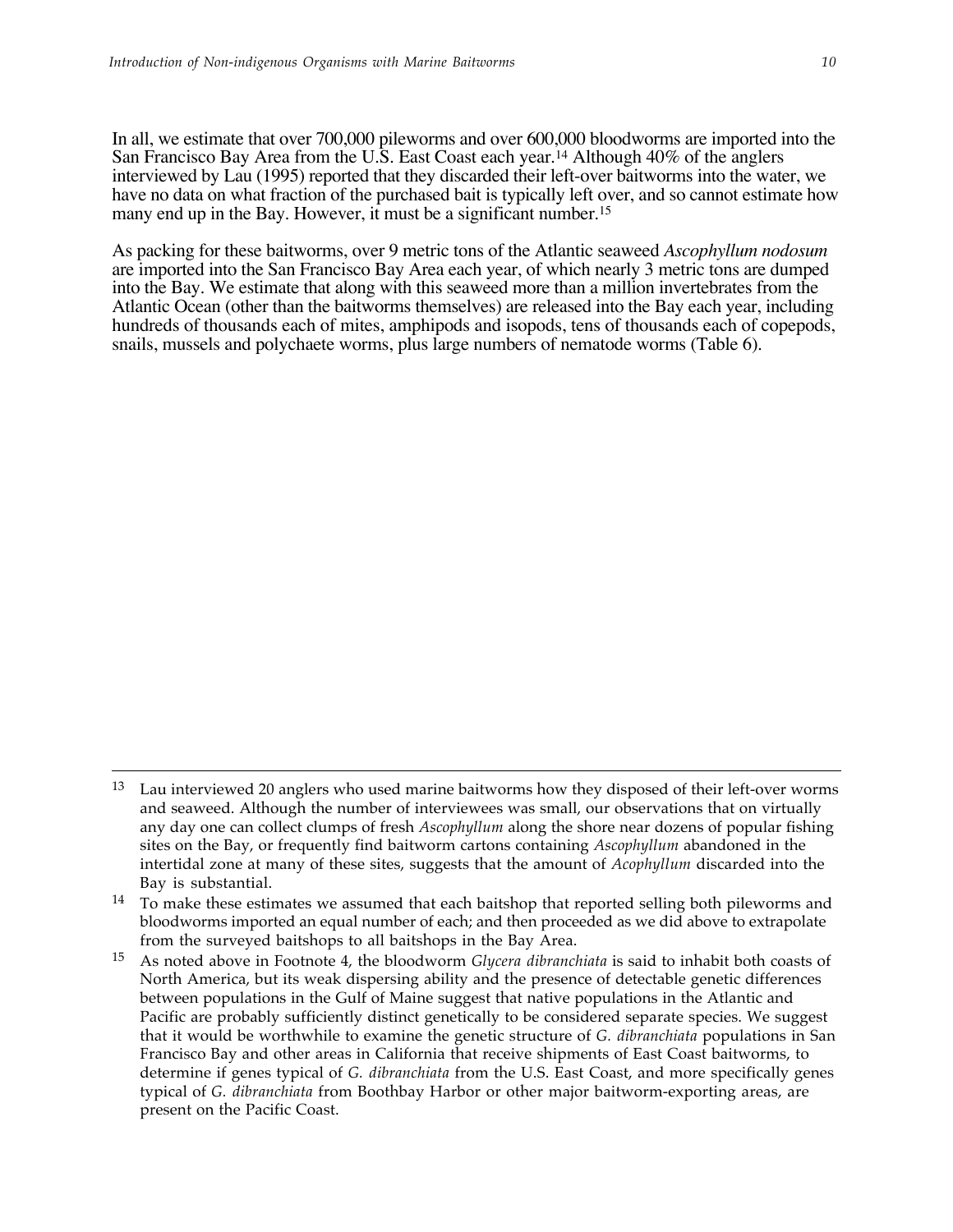$\overline{a}$ 

In all, we estimate that over 700,000 pileworms and over 600,000 bloodworms are imported into the San Francisco Bay Area from the U.S. East Coast each year.14 Although 40% of the anglers interviewed by Lau (1995) reported that they discarded their left-over baitworms into the water, we have no data on what fraction of the purchased bait is typically left over, and so cannot estimate how many end up in the Bay. However, it must be a significant number.<sup>15</sup>

As packing for these baitworms, over 9 metric tons of the Atlantic seaweed *Ascophyllum nodosum* are imported into the San Francisco Bay Area each year, of which nearly 3 metric tons are dumped into the Bay. We estimate that along with this seaweed more than a million invertebrates from the Atlantic Ocean (other than the baitworms themselves) are released into the Bay each year, including hundreds of thousands each of mites, amphipods and isopods, tens of thousands each of copepods, snails, mussels and polychaete worms, plus large numbers of nematode worms (Table 6).

<sup>&</sup>lt;sup>13</sup> Lau interviewed 20 anglers who used marine baitworms how they disposed of their left-over worms and seaweed. Although the number of interviewees was small, our observations that on virtually any day one can collect clumps of fresh *Ascophyllum* along the shore near dozens of popular fishing sites on the Bay, or frequently find baitworm cartons containing *Ascophyllum* abandoned in the intertidal zone at many of these sites, suggests that the amount of *Acophyllum* discarded into the Bay is substantial.

<sup>&</sup>lt;sup>14</sup> To make these estimates we assumed that each baitshop that reported selling both pileworms and bloodworms imported an equal number of each; and then proceeded as we did above to extrapolate from the surveyed baitshops to all baitshops in the Bay Area.

<sup>15</sup> As noted above in Footnote 4, the bloodworm *Glycera dibranchiata* is said to inhabit both coasts of North America, but its weak dispersing ability and the presence of detectable genetic differences between populations in the Gulf of Maine suggest that native populations in the Atlantic and Pacific are probably sufficiently distinct genetically to be considered separate species. We suggest that it would be worthwhile to examine the genetic structure of *G. dibranchiata* populations in San Francisco Bay and other areas in California that receive shipments of East Coast baitworms, to determine if genes typical of *G. dibranchiata* from the U.S. East Coast, and more specifically genes typical of *G. dibranchiata* from Boothbay Harbor or other major baitworm-exporting areas, are present on the Pacific Coast.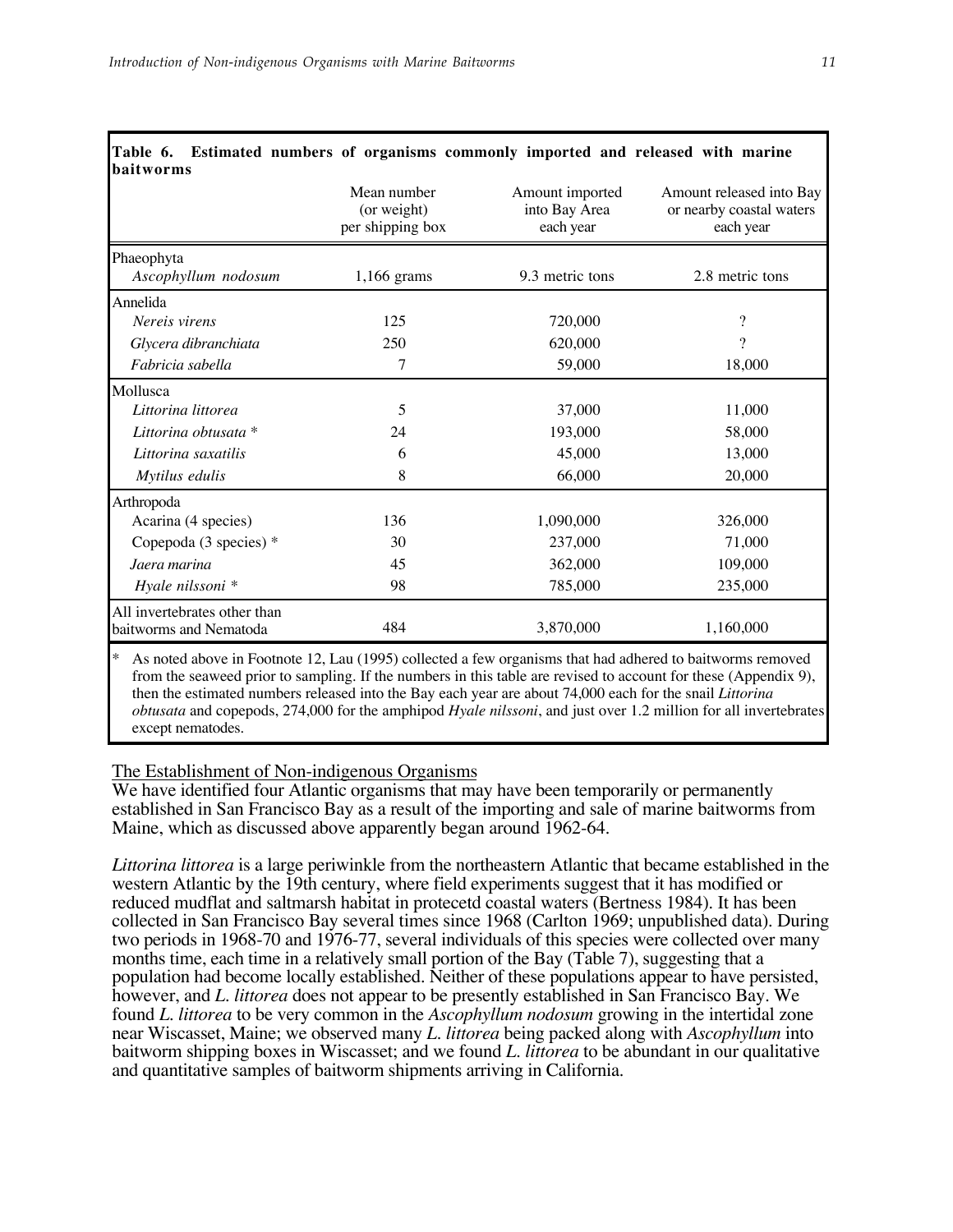|                                                        | Mean number<br>(or weight)<br>per shipping box | Amount imported<br>into Bay Area<br>each year | Amount released into Bay<br>or nearby coastal waters<br>each year |
|--------------------------------------------------------|------------------------------------------------|-----------------------------------------------|-------------------------------------------------------------------|
| Phaeophyta<br>Ascophyllum nodosum                      | $1,166$ grams                                  | 9.3 metric tons                               | 2.8 metric tons                                                   |
| Annelida                                               |                                                |                                               |                                                                   |
| Nereis virens                                          | 125                                            | 720,000                                       | $\overline{?}$                                                    |
| Glycera dibranchiata                                   | 250                                            | 620,000                                       | $\gamma$                                                          |
| Fabricia sabella                                       | 7                                              | 59,000                                        | 18,000                                                            |
| Mollusca                                               |                                                |                                               |                                                                   |
| Littorina littorea                                     | 5                                              | 37,000                                        | 11,000                                                            |
| Littorina obtusata *                                   | 24                                             | 193,000                                       | 58,000                                                            |
| Littorina saxatilis                                    | 6                                              | 45,000                                        | 13,000                                                            |
| Mytilus edulis                                         | 8                                              | 66,000                                        | 20,000                                                            |
| Arthropoda                                             |                                                |                                               |                                                                   |
| Acarina (4 species)                                    | 136                                            | 1,090,000                                     | 326,000                                                           |
| Copepoda $(3 \text{ species})$ *                       | 30                                             | 237,000                                       | 71,000                                                            |
| Jaera marina                                           | 45                                             | 362,000                                       | 109,000                                                           |
| Hyale nilssoni *                                       | 98                                             | 785,000                                       | 235,000                                                           |
| All invertebrates other than<br>baitworms and Nematoda | 484                                            | 3,870,000                                     | 1,160,000                                                         |

from the seaweed prior to sampling. If the numbers in this table are revised to account for these (Appendix 9), then the estimated numbers released into the Bay each year are about 74,000 each for the snail *Littorina obtusata* and copepods, 274,000 for the amphipod *Hyale nilssoni*, and just over 1.2 million for all invertebrates except nematodes.

### The Establishment of Non-indigenous Organisms

We have identified four Atlantic organisms that may have been temporarily or permanently established in San Francisco Bay as a result of the importing and sale of marine baitworms from Maine, which as discussed above apparently began around 1962-64.

*Littorina littorea* is a large periwinkle from the northeastern Atlantic that became established in the western Atlantic by the 19th century, where field experiments suggest that it has modified or reduced mudflat and saltmarsh habitat in protecetd coastal waters (Bertness 1984). It has been collected in San Francisco Bay several times since 1968 (Carlton 1969; unpublished data). During two periods in 1968-70 and 1976-77, several individuals of this species were collected over many months time, each time in a relatively small portion of the Bay (Table 7), suggesting that a population had become locally established. Neither of these populations appear to have persisted, however, and *L. littorea* does not appear to be presently established in San Francisco Bay. We found *L. littorea* to be very common in the *Ascophyllum nodosum* growing in the intertidal zone near Wiscasset, Maine; we observed many *L. littorea* being packed along with *Ascophyllum* into baitworm shipping boxes in Wiscasset; and we found *L. littorea* to be abundant in our qualitative and quantitative samples of baitworm shipments arriving in California.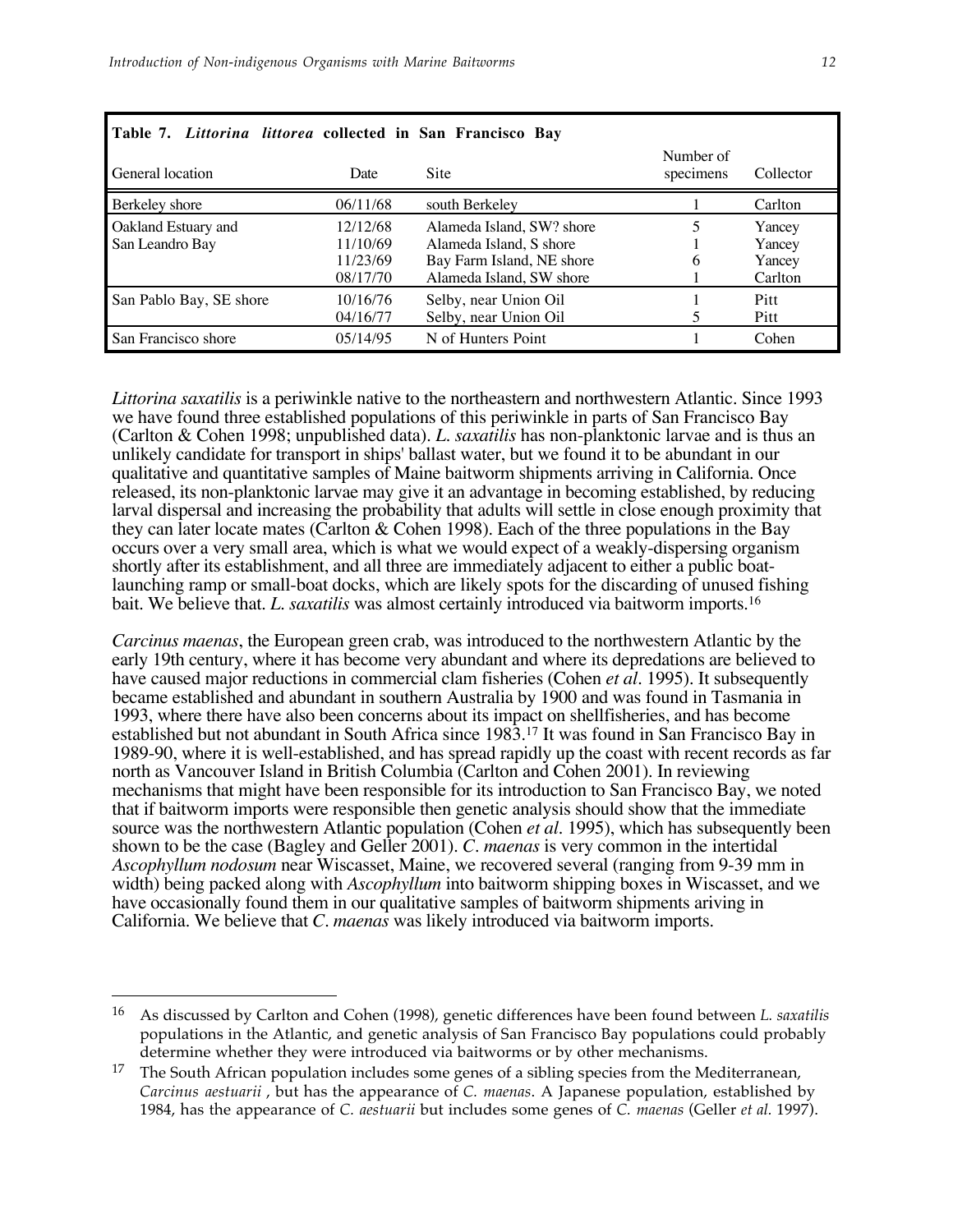| Table 7. Littorina littorea collected in San Francisco Bay |                                              |                                                                                                               |                        |                                       |
|------------------------------------------------------------|----------------------------------------------|---------------------------------------------------------------------------------------------------------------|------------------------|---------------------------------------|
| General location                                           | Date                                         | Site                                                                                                          | Number of<br>specimens | Collector                             |
| Berkeley shore                                             | 06/11/68                                     | south Berkeley                                                                                                |                        | Carlton                               |
| Oakland Estuary and<br>San Leandro Bay                     | 12/12/68<br>11/10/69<br>11/23/69<br>08/17/70 | Alameda Island, SW? shore<br>Alameda Island, S shore<br>Bay Farm Island, NE shore<br>Alameda Island, SW shore | 6                      | Yancey<br>Yancey<br>Yancey<br>Carlton |
| San Pablo Bay, SE shore                                    | 10/16/76<br>04/16/77                         | Selby, near Union Oil<br>Selby, near Union Oil                                                                |                        | Pitt<br>Pitt                          |
| San Francisco shore                                        | 05/14/95                                     | N of Hunters Point                                                                                            |                        | Cohen                                 |

*Littorina saxatilis* is a periwinkle native to the northeastern and northwestern Atlantic. Since 1993 we have found three established populations of this periwinkle in parts of San Francisco Bay (Carlton & Cohen 1998; unpublished data). *L. saxatilis* has non-planktonic larvae and is thus an unlikely candidate for transport in ships' ballast water, but we found it to be abundant in our qualitative and quantitative samples of Maine baitworm shipments arriving in California. Once released, its non-planktonic larvae may give it an advantage in becoming established, by reducing larval dispersal and increasing the probability that adults will settle in close enough proximity that they can later locate mates (Carlton & Cohen 1998). Each of the three populations in the Bay occurs over a very small area, which is what we would expect of a weakly-dispersing organism shortly after its establishment, and all three are immediately adjacent to either a public boatlaunching ramp or small-boat docks, which are likely spots for the discarding of unused fishing bait. We believe that. *L. saxatilis* was almost certainly introduced via baitworm imports.16

*Carcinus maenas*, the European green crab, was introduced to the northwestern Atlantic by the early 19th century, where it has become very abundant and where its depredations are believed to have caused major reductions in commercial clam fisheries (Cohen *et al.* 1995). It subsequently became established and abundant in southern Australia by 1900 and was found in Tasmania in 1993, where there have also been concerns about its impact on shellfisheries, and has become established but not abundant in South Africa since 1983.17 It was found in San Francisco Bay in 1989-90, where it is well-established, and has spread rapidly up the coast with recent records as far north as Vancouver Island in British Columbia (Carlton and Cohen 2001). In reviewing mechanisms that might have been responsible for its introduction to San Francisco Bay, we noted that if baitworm imports were responsible then genetic analysis should show that the immediate source was the northwestern Atlantic population (Cohen *et al.* 1995), which has subsequently been shown to be the case (Bagley and Geller 2001). *C. maenas* is very common in the intertidal *Ascophyllum nodosum* near Wiscasset, Maine, we recovered several (ranging from 9-39 mm in width) being packed along with *Ascophyllum* into baitworm shipping boxes in Wiscasset, and we have occasionally found them in our qualitative samples of baitworm shipments ariving in California. We believe that *C. maenas* was likely introduced via baitworm imports.

 $\overline{a}$ 

<sup>16</sup> As discussed by Carlton and Cohen (1998), genetic differences have been found between *L. saxatilis* populations in the Atlantic, and genetic analysis of San Francisco Bay populations could probably determine whether they were introduced via baitworms or by other mechanisms.

<sup>&</sup>lt;sup>17</sup> The South African population includes some genes of a sibling species from the Mediterranean, *Carcinus aestuarii* , but has the appearance of *C. maenas*. A Japanese population, established by 1984, has the appearance of *C. aestuarii* but includes some genes of *C. maenas* (Geller *et al.* 1997).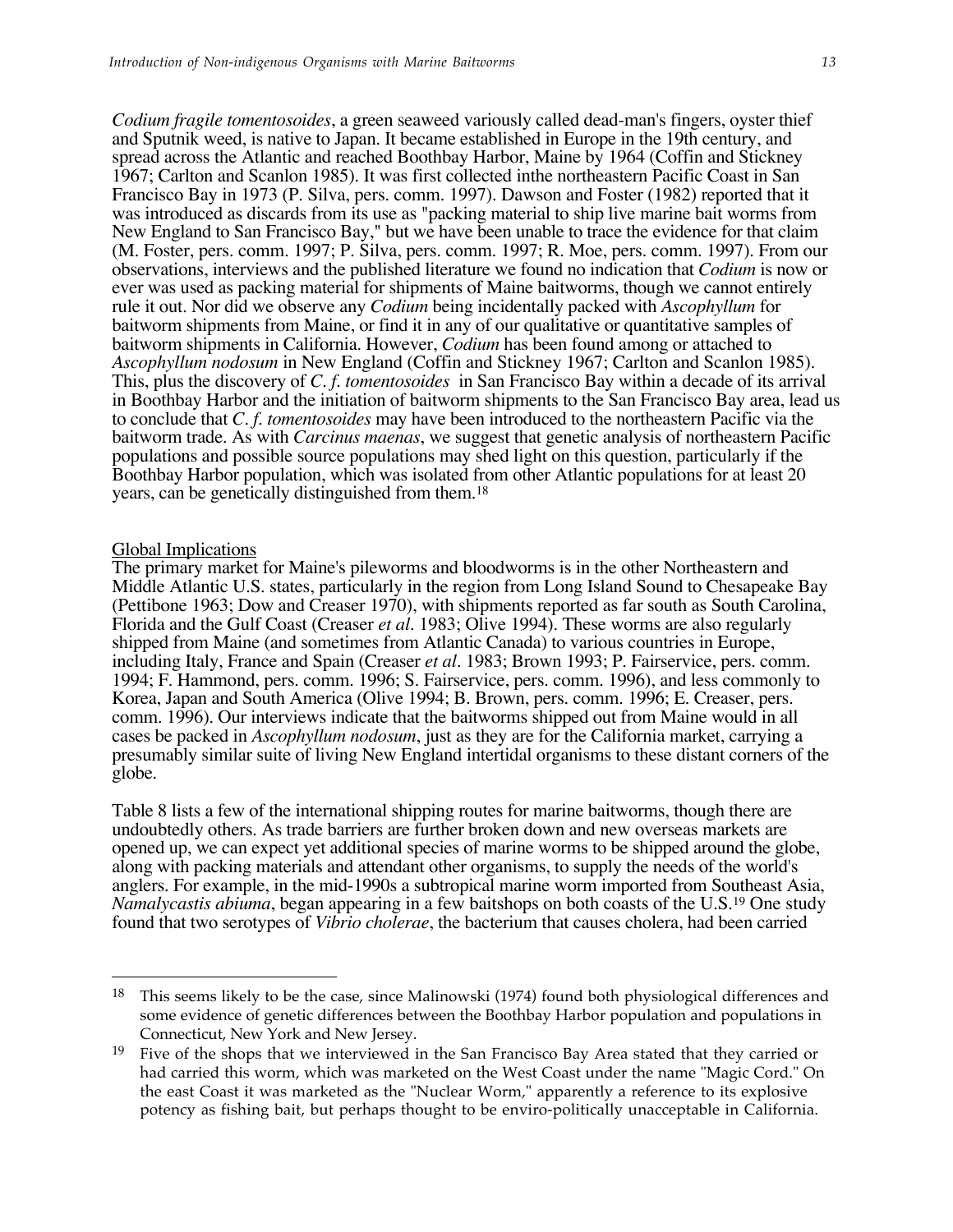*Codium fragile tomentosoides*, a green seaweed variously called dead-man's fingers, oyster thief and Sputnik weed, is native to Japan. It became established in Europe in the 19th century, and spread across the Atlantic and reached Boothbay Harbor, Maine by 1964 (Coffin and Stickney 1967; Carlton and Scanlon 1985). It was first collected inthe northeastern Pacific Coast in San Francisco Bay in 1973 (P. Silva, pers. comm. 1997). Dawson and Foster (1982) reported that it was introduced as discards from its use as "packing material to ship live marine bait worms from New England to San Francisco Bay," but we have been unable to trace the evidence for that claim (M. Foster, pers. comm. 1997; P. Silva, pers. comm. 1997; R. Moe, pers. comm. 1997). From our observations, interviews and the published literature we found no indication that *Codium* is now or ever was used as packing material for shipments of Maine baitworms, though we cannot entirely rule it out. Nor did we observe any *Codium* being incidentally packed with *Ascophyllum* for baitworm shipments from Maine, or find it in any of our qualitative or quantitative samples of baitworm shipments in California. However, *Codium* has been found among or attached to *Ascophyllum nodosum* in New England (Coffin and Stickney 1967; Carlton and Scanlon 1985). This, plus the discovery of *C. f. tomentosoides* in San Francisco Bay within a decade of its arrival in Boothbay Harbor and the initiation of baitworm shipments to the San Francisco Bay area, lead us to conclude that *C. f. tomentosoides* may have been introduced to the northeastern Pacific via the baitworm trade. As with *Carcinus maenas*, we suggest that genetic analysis of northeastern Pacific populations and possible source populations may shed light on this question, particularly if the Boothbay Harbor population, which was isolated from other Atlantic populations for at least 20 years, can be genetically distinguished from them.18

### Global Implications

 $\overline{a}$ 

The primary market for Maine's pileworms and bloodworms is in the other Northeastern and Middle Atlantic U.S. states, particularly in the region from Long Island Sound to Chesapeake Bay (Pettibone 1963; Dow and Creaser 1970), with shipments reported as far south as South Carolina, Florida and the Gulf Coast (Creaser *et al.* 1983; Olive 1994). These worms are also regularly shipped from Maine (and sometimes from Atlantic Canada) to various countries in Europe, including Italy, France and Spain (Creaser *et al.* 1983; Brown 1993; P. Fairservice, pers. comm. 1994; F. Hammond, pers. comm. 1996; S. Fairservice, pers. comm. 1996), and less commonly to Korea, Japan and South America (Olive 1994; B. Brown, pers. comm. 1996; E. Creaser, pers. comm. 1996). Our interviews indicate that the baitworms shipped out from Maine would in all cases be packed in *Ascophyllum nodosum*, just as they are for the California market, carrying a presumably similar suite of living New England intertidal organisms to these distant corners of the globe.

Table 8 lists a few of the international shipping routes for marine baitworms, though there are undoubtedly others. As trade barriers are further broken down and new overseas markets are opened up, we can expect yet additional species of marine worms to be shipped around the globe, along with packing materials and attendant other organisms, to supply the needs of the world's anglers. For example, in the mid-1990s a subtropical marine worm imported from Southeast Asia, *Namalycastis abiuma*, began appearing in a few baitshops on both coasts of the U.S.19 One study found that two serotypes of *Vibrio cholerae*, the bacterium that causes cholera, had been carried

<sup>&</sup>lt;sup>18</sup> This seems likely to be the case, since Malinowski (1974) found both physiological differences and some evidence of genetic differences between the Boothbay Harbor population and populations in Connecticut, New York and New Jersey.

<sup>19</sup> Five of the shops that we interviewed in the San Francisco Bay Area stated that they carried or had carried this worm, which was marketed on the West Coast under the name "Magic Cord." On the east Coast it was marketed as the "Nuclear Worm," apparently a reference to its explosive potency as fishing bait, but perhaps thought to be enviro-politically unacceptable in California.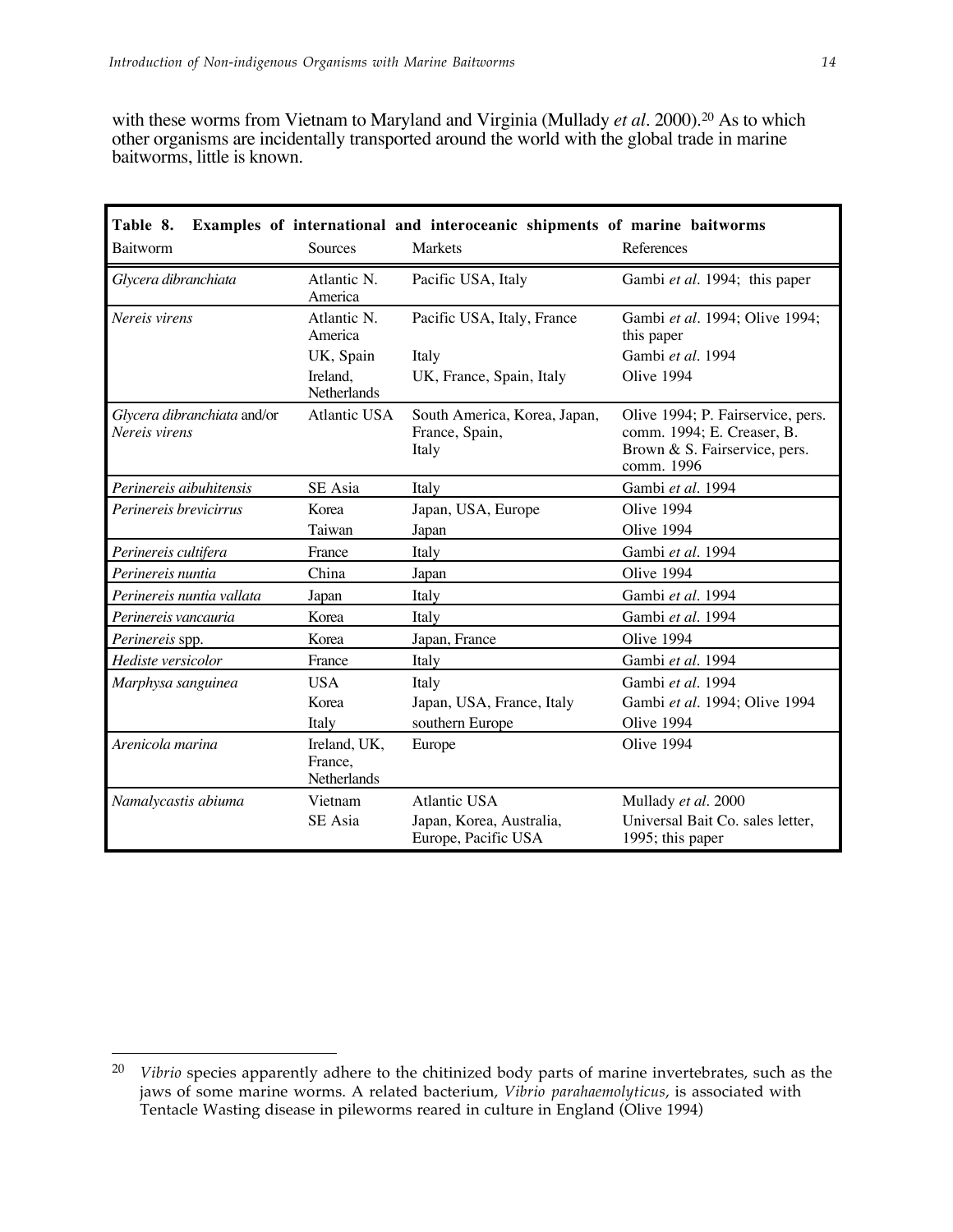with these worms from Vietnam to Maryland and Virginia (Mullady *et al.* 2000).<sup>20</sup> As to which other organisms are incidentally transported around the world with the global trade in marine baitworms, little is known.

| Table 8.<br>Examples of international and interoceanic shipments of marine baitworms |                                               |                                                         |                                                                                                                |  |  |  |  |  |  |  |
|--------------------------------------------------------------------------------------|-----------------------------------------------|---------------------------------------------------------|----------------------------------------------------------------------------------------------------------------|--|--|--|--|--|--|--|
| Baitworm                                                                             | Sources                                       | Markets                                                 | References                                                                                                     |  |  |  |  |  |  |  |
| Glycera dibranchiata                                                                 | Atlantic N.<br>America                        | Pacific USA, Italy                                      | Gambi et al. 1994; this paper                                                                                  |  |  |  |  |  |  |  |
| Nereis virens                                                                        | Atlantic N.<br>America                        | Pacific USA, Italy, France                              | Gambi et al. 1994; Olive 1994;<br>this paper                                                                   |  |  |  |  |  |  |  |
|                                                                                      | UK, Spain                                     | Italy                                                   | Gambi et al. 1994                                                                                              |  |  |  |  |  |  |  |
|                                                                                      | Ireland,<br>Netherlands                       | UK, France, Spain, Italy                                | Olive 1994                                                                                                     |  |  |  |  |  |  |  |
| Glycera dibranchiata and/or<br>Nereis virens                                         | Atlantic USA                                  | South America, Korea, Japan,<br>France, Spain,<br>Italy | Olive 1994; P. Fairservice, pers.<br>comm. 1994; E. Creaser, B.<br>Brown & S. Fairservice, pers.<br>comm. 1996 |  |  |  |  |  |  |  |
| Perinereis aibuhitensis                                                              | SE Asia                                       | Italy                                                   | Gambi et al. 1994                                                                                              |  |  |  |  |  |  |  |
| Perinereis brevicirrus                                                               | Korea                                         | Japan, USA, Europe                                      | Olive 1994                                                                                                     |  |  |  |  |  |  |  |
|                                                                                      | Taiwan                                        | Japan                                                   | Olive 1994                                                                                                     |  |  |  |  |  |  |  |
| Perinereis cultifera                                                                 | France                                        | Italy                                                   | Gambi et al. 1994                                                                                              |  |  |  |  |  |  |  |
| Perinereis nuntia                                                                    | China                                         | Japan                                                   | Olive 1994                                                                                                     |  |  |  |  |  |  |  |
| Perinereis nuntia vallata                                                            | Japan                                         | Italy                                                   | Gambi et al. 1994                                                                                              |  |  |  |  |  |  |  |
| Perinereis vancauria                                                                 | Korea                                         | Italy                                                   | Gambi et al. 1994                                                                                              |  |  |  |  |  |  |  |
| <i>Perinereis</i> spp.                                                               | Korea                                         | Japan, France                                           | Olive 1994                                                                                                     |  |  |  |  |  |  |  |
| Hediste versicolor                                                                   | France                                        | Italy                                                   | Gambi et al. 1994                                                                                              |  |  |  |  |  |  |  |
| Marphysa sanguinea                                                                   | <b>USA</b>                                    | Italy                                                   | Gambi et al. 1994                                                                                              |  |  |  |  |  |  |  |
|                                                                                      | Korea                                         | Japan, USA, France, Italy                               | Gambi et al. 1994; Olive 1994                                                                                  |  |  |  |  |  |  |  |
|                                                                                      | Italy                                         | southern Europe                                         | Olive 1994                                                                                                     |  |  |  |  |  |  |  |
| Arenicola marina                                                                     | Ireland, UK,<br>France.<br><b>Netherlands</b> | Europe                                                  | Olive 1994                                                                                                     |  |  |  |  |  |  |  |
| Namalycastis abiuma                                                                  | Vietnam                                       | Atlantic USA                                            | Mullady et al. 2000                                                                                            |  |  |  |  |  |  |  |
|                                                                                      | SE Asia                                       | Japan, Korea, Australia,<br>Europe, Pacific USA         | Universal Bait Co. sales letter,<br>1995; this paper                                                           |  |  |  |  |  |  |  |

 $\overline{a}$ 

<sup>20</sup> *Vibrio* species apparently adhere to the chitinized body parts of marine invertebrates, such as the jaws of some marine worms. A related bacterium, *Vibrio parahaemolyticus*, is associated with Tentacle Wasting disease in pileworms reared in culture in England (Olive 1994)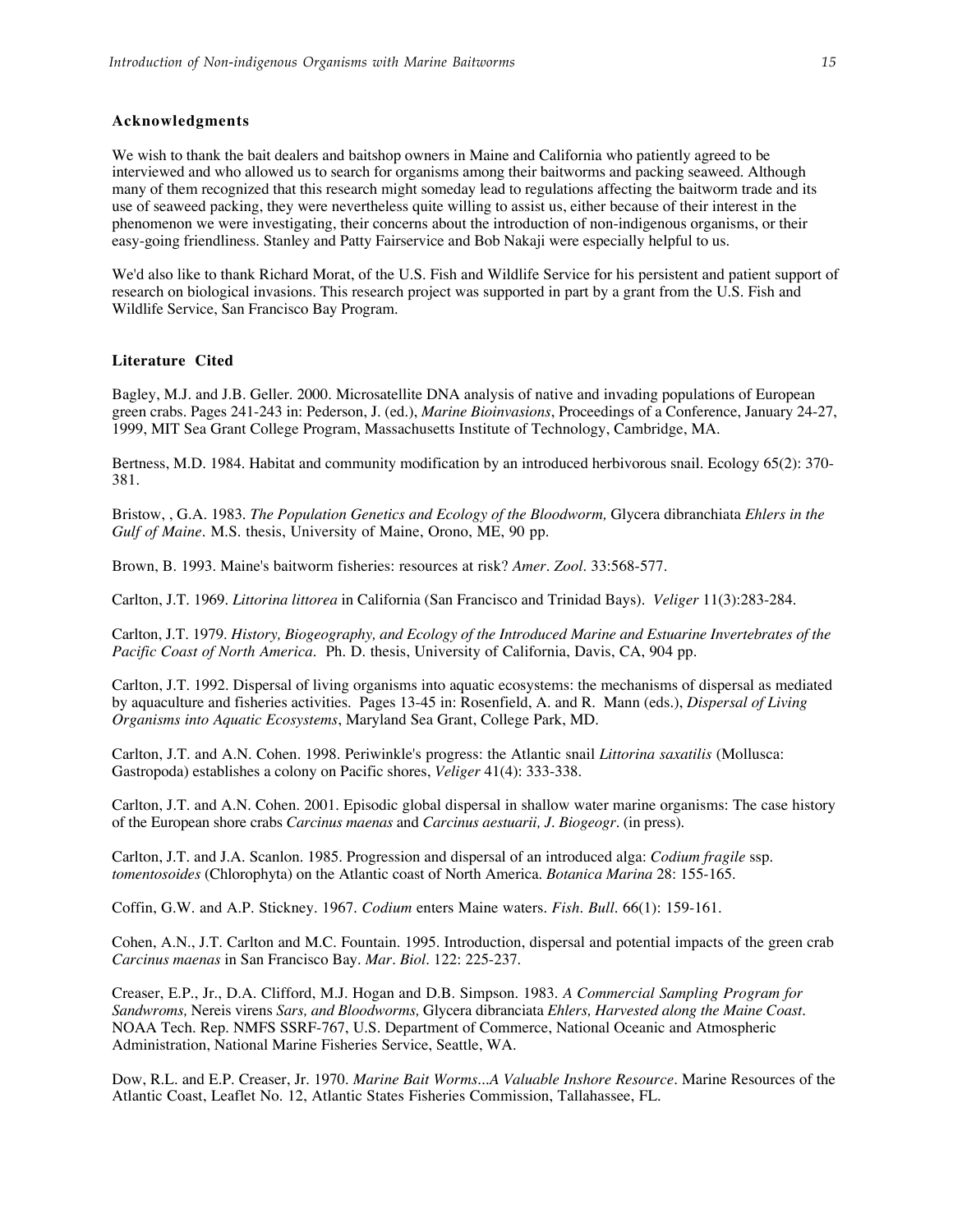### **Acknowledgments**

We wish to thank the bait dealers and baitshop owners in Maine and California who patiently agreed to be interviewed and who allowed us to search for organisms among their baitworms and packing seaweed. Although many of them recognized that this research might someday lead to regulations affecting the baitworm trade and its use of seaweed packing, they were nevertheless quite willing to assist us, either because of their interest in the phenomenon we were investigating, their concerns about the introduction of non-indigenous organisms, or their easy-going friendliness. Stanley and Patty Fairservice and Bob Nakaji were especially helpful to us.

We'd also like to thank Richard Morat, of the U.S. Fish and Wildlife Service for his persistent and patient support of research on biological invasions. This research project was supported in part by a grant from the U.S. Fish and Wildlife Service, San Francisco Bay Program.

### **Literature Cited**

Bagley, M.J. and J.B. Geller. 2000. Microsatellite DNA analysis of native and invading populations of European green crabs. Pages 241-243 in: Pederson, J. (ed.), *Marine Bioinvasions*, Proceedings of a Conference, January 24-27, 1999, MIT Sea Grant College Program, Massachusetts Institute of Technology, Cambridge, MA.

Bertness, M.D. 1984. Habitat and community modification by an introduced herbivorous snail. Ecology 65(2): 370- 381.

Bristow, , G.A. 1983. *The Population Genetics and Ecology of the Bloodworm,* Glycera dibranchiata *Ehlers in the Gulf of Maine.* M.S. thesis, University of Maine, Orono, ME, 90 pp.

Brown, B. 1993. Maine's baitworm fisheries: resources at risk? *Amer. Zool.* 33:568-577.

Carlton, J.T. 1969. *Littorina littorea* in California (San Francisco and Trinidad Bays). *Veliger* 11(3):283-284.

Carlton, J.T. 1979. *History, Biogeography, and Ecology of the Introduced Marine and Estuarine Invertebrates of the Pacific Coast of North America.* Ph. D. thesis, University of California, Davis, CA, 904 pp.

Carlton, J.T. 1992. Dispersal of living organisms into aquatic ecosystems: the mechanisms of dispersal as mediated by aquaculture and fisheries activities. Pages 13-45 in: Rosenfield, A. and R. Mann (eds.), *Dispersal of Living Organisms into Aquatic Ecosystems*, Maryland Sea Grant, College Park, MD.

Carlton, J.T. and A.N. Cohen. 1998. Periwinkle's progress: the Atlantic snail *Littorina saxatilis* (Mollusca: Gastropoda) establishes a colony on Pacific shores, *Veliger* 41(4): 333-338.

Carlton, J.T. and A.N. Cohen. 2001. Episodic global dispersal in shallow water marine organisms: The case history of the European shore crabs *Carcinus maenas* and *Carcinus aestuarii, J. Biogeogr.* (in press).

Carlton, J.T. and J.A. Scanlon. 1985. Progression and dispersal of an introduced alga: *Codium fragile* ssp. *tomentosoides* (Chlorophyta) on the Atlantic coast of North America. *Botanica Marina* 28: 155-165.

Coffin, G.W. and A.P. Stickney. 1967. *Codium* enters Maine waters. *Fish. Bull.* 66(1): 159-161.

Cohen, A.N., J.T. Carlton and M.C. Fountain. 1995. Introduction, dispersal and potential impacts of the green crab *Carcinus maenas* in San Francisco Bay. *Mar. Biol.* 122: 225-237.

Creaser, E.P., Jr., D.A. Clifford, M.J. Hogan and D.B. Simpson. 1983. *A Commercial Sampling Program for Sandwroms,* Nereis virens *Sars, and Bloodworms,* Glycera dibranciata *Ehlers, Harvested along the Maine Coast.* NOAA Tech. Rep. NMFS SSRF-767, U.S. Department of Commerce, National Oceanic and Atmospheric Administration, National Marine Fisheries Service, Seattle, WA.

Dow, R.L. and E.P. Creaser, Jr. 1970. *Marine Bait Worms...A Valuable Inshore Resource.* Marine Resources of the Atlantic Coast, Leaflet No. 12, Atlantic States Fisheries Commission, Tallahassee, FL.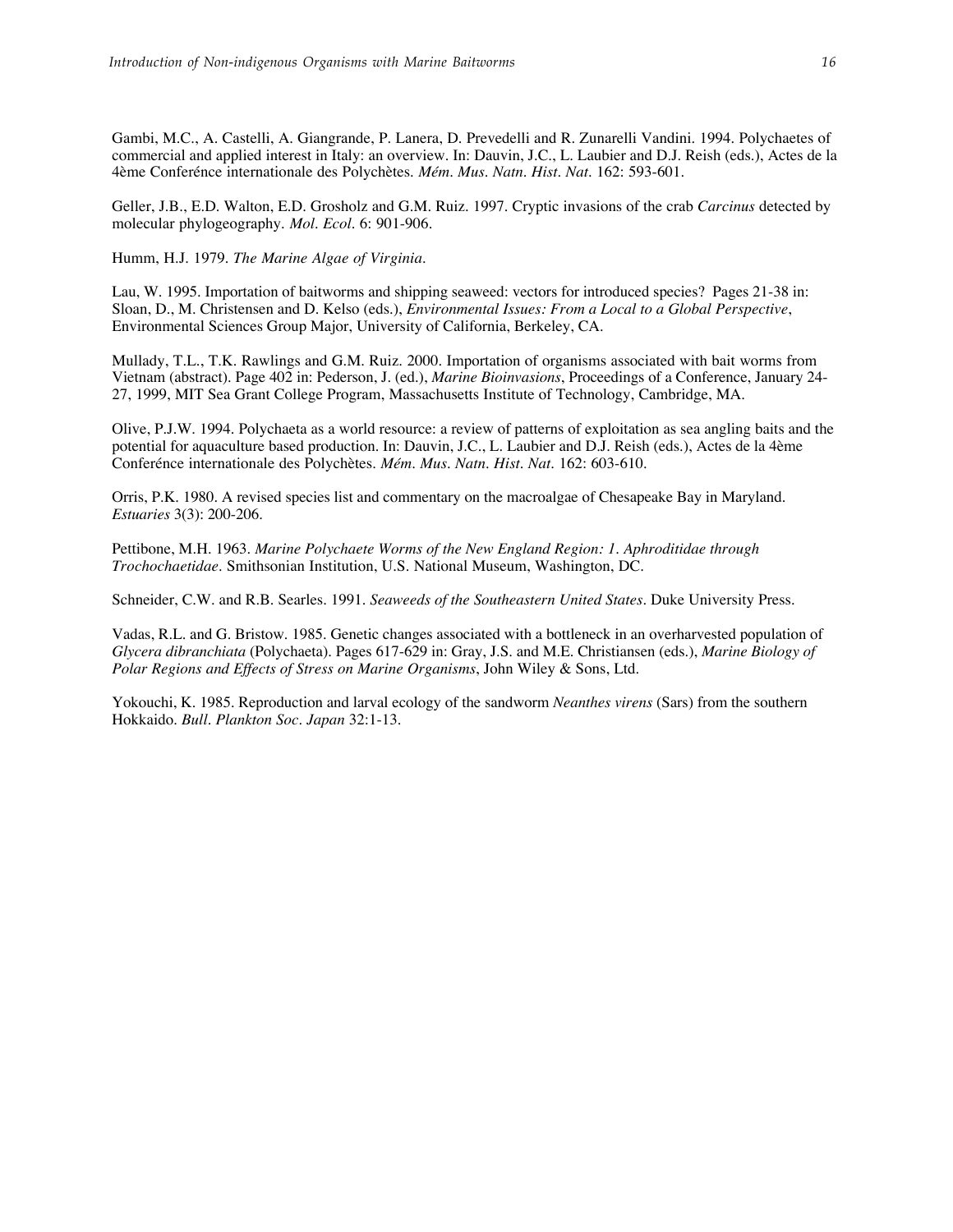Gambi, M.C., A. Castelli, A. Giangrande, P. Lanera, D. Prevedelli and R. Zunarelli Vandini. 1994. Polychaetes of commercial and applied interest in Italy: an overview. In: Dauvin, J.C., L. Laubier and D.J. Reish (eds.), Actes de la 4ème Conferénce internationale des Polychètes. *Mém. Mus. Natn. Hist. Nat.* 162: 593-601.

Geller, J.B., E.D. Walton, E.D. Grosholz and G.M. Ruiz. 1997. Cryptic invasions of the crab *Carcinus* detected by molecular phylogeography. *Mol. Ecol.* 6: 901-906.

Humm, H.J. 1979. *The Marine Algae of Virginia*.

Lau, W. 1995. Importation of baitworms and shipping seaweed: vectors for introduced species? Pages 21-38 in: Sloan, D., M. Christensen and D. Kelso (eds.), *Environmental Issues: From a Local to a Global Perspective*, Environmental Sciences Group Major, University of California, Berkeley, CA.

Mullady, T.L., T.K. Rawlings and G.M. Ruiz. 2000. Importation of organisms associated with bait worms from Vietnam (abstract). Page 402 in: Pederson, J. (ed.), *Marine Bioinvasions*, Proceedings of a Conference, January 24- 27, 1999, MIT Sea Grant College Program, Massachusetts Institute of Technology, Cambridge, MA.

Olive, P.J.W. 1994. Polychaeta as a world resource: a review of patterns of exploitation as sea angling baits and the potential for aquaculture based production. In: Dauvin, J.C., L. Laubier and D.J. Reish (eds.), Actes de la 4ème Conferénce internationale des Polychètes. *Mém. Mus. Natn. Hist. Nat.* 162: 603-610.

Orris, P.K. 1980. A revised species list and commentary on the macroalgae of Chesapeake Bay in Maryland. *Estuaries* 3(3): 200-206.

Pettibone, M.H. 1963. *Marine Polychaete Worms of the New England Region: 1. Aphroditidae through Trochochaetidae*. Smithsonian Institution, U.S. National Museum, Washington, DC.

Schneider, C.W. and R.B. Searles. 1991. *Seaweeds of the Southeastern United States*. Duke University Press.

Vadas, R.L. and G. Bristow. 1985. Genetic changes associated with a bottleneck in an overharvested population of *Glycera dibranchiata* (Polychaeta). Pages 617-629 in: Gray, J.S. and M.E. Christiansen (eds.), *Marine Biology of Polar Regions and Effects of Stress on Marine Organisms*, John Wiley & Sons, Ltd.

Yokouchi, K. 1985. Reproduction and larval ecology of the sandworm *Neanthes virens* (Sars) from the southern Hokkaido. *Bull. Plankton Soc. Japan* 32:1-13.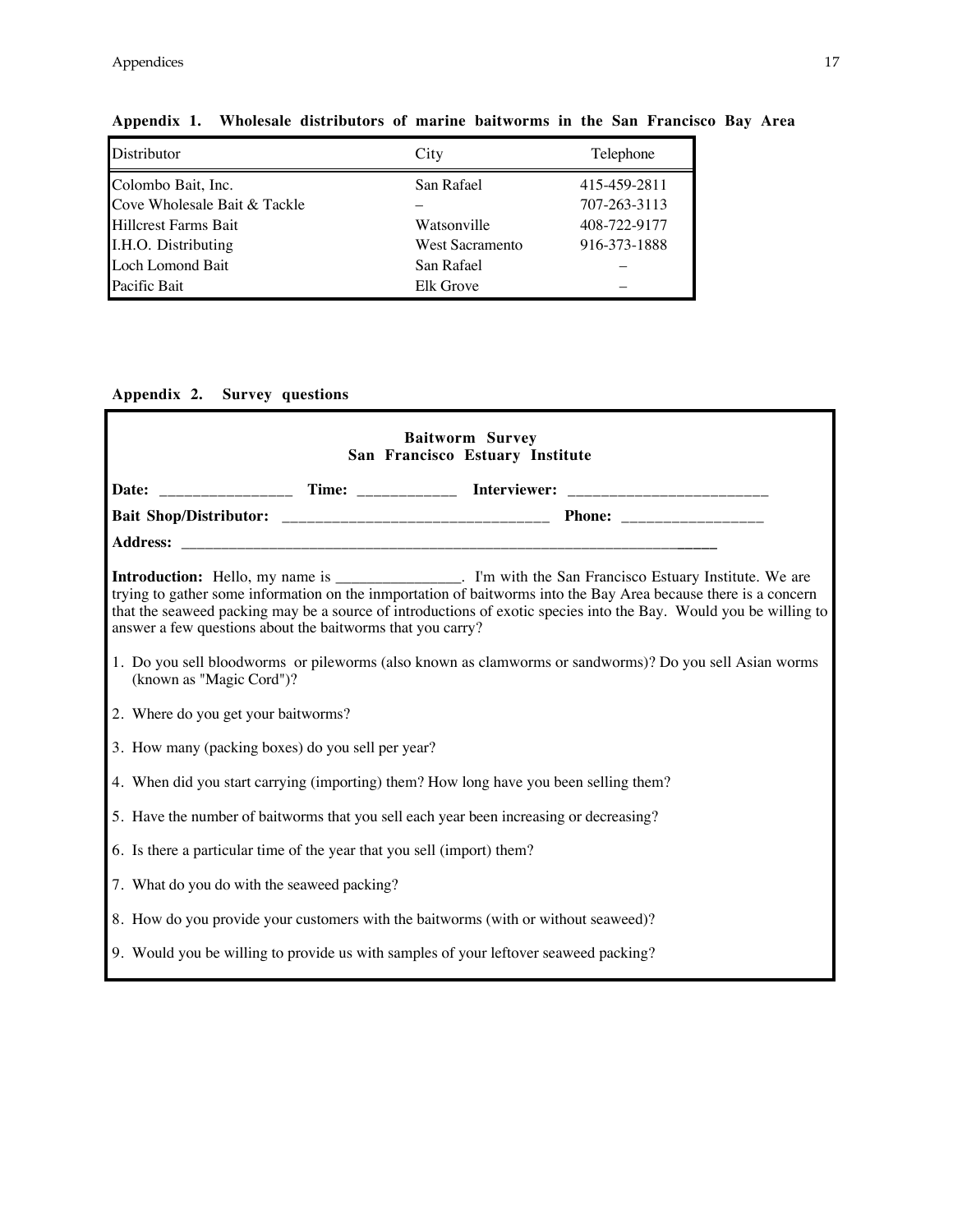| Distributor                  | City            | Telephone    |
|------------------------------|-----------------|--------------|
| Colombo Bait, Inc.           | San Rafael      | 415-459-2811 |
| Cove Wholesale Bait & Tackle |                 | 707-263-3113 |
| <b>Hillcrest Farms Bait</b>  | Watsonville     | 408-722-9177 |
| I.H.O. Distributing          | West Sacramento | 916-373-1888 |
| Loch Lomond Bait             | San Rafael      |              |
| Pacific Bait                 | Elk Grove       |              |

### **Appendix 1. Wholesale distributors of marine baitworms in the San Francisco Bay Area**

### **Appendix 2. Survey questions**

| <b>Baitworm Survey</b><br>San Francisco Estuary Institute |                                                                                        |  |                                                                                                                                                                                                                                                                                                                                             |  |  |  |  |  |  |
|-----------------------------------------------------------|----------------------------------------------------------------------------------------|--|---------------------------------------------------------------------------------------------------------------------------------------------------------------------------------------------------------------------------------------------------------------------------------------------------------------------------------------------|--|--|--|--|--|--|
|                                                           |                                                                                        |  | Date: ______________________ Time: _________________ Interviewer: __________________________________                                                                                                                                                                                                                                        |  |  |  |  |  |  |
|                                                           |                                                                                        |  |                                                                                                                                                                                                                                                                                                                                             |  |  |  |  |  |  |
|                                                           |                                                                                        |  |                                                                                                                                                                                                                                                                                                                                             |  |  |  |  |  |  |
|                                                           | answer a few questions about the baitworms that you carry?                             |  | Introduction: Hello, my name is ________________. I'm with the San Francisco Estuary Institute. We are trying to gather some information on the inmportation of baitworms into the Bay Area because there is a concern<br>that the seaweed packing may be a source of introductions of exotic species into the Bay. Would you be willing to |  |  |  |  |  |  |
| (known as "Magic Cord")?                                  |                                                                                        |  | 1. Do you sell bloodworms or pileworms (also known as clamworms or sandworms)? Do you sell Asian worms                                                                                                                                                                                                                                      |  |  |  |  |  |  |
| 2. Where do you get your baitworms?                       |                                                                                        |  |                                                                                                                                                                                                                                                                                                                                             |  |  |  |  |  |  |
|                                                           | 3. How many (packing boxes) do you sell per year?                                      |  |                                                                                                                                                                                                                                                                                                                                             |  |  |  |  |  |  |
|                                                           | 4. When did you start carrying (importing) them? How long have you been selling them?  |  |                                                                                                                                                                                                                                                                                                                                             |  |  |  |  |  |  |
|                                                           | 5. Have the number of baitworms that you sell each year been increasing or decreasing? |  |                                                                                                                                                                                                                                                                                                                                             |  |  |  |  |  |  |
|                                                           | 6. Is there a particular time of the year that you sell (import) them?                 |  |                                                                                                                                                                                                                                                                                                                                             |  |  |  |  |  |  |
| 7. What do you do with the seaweed packing?               |                                                                                        |  |                                                                                                                                                                                                                                                                                                                                             |  |  |  |  |  |  |
|                                                           | 8. How do you provide your customers with the baitworms (with or without seaweed)?     |  |                                                                                                                                                                                                                                                                                                                                             |  |  |  |  |  |  |
|                                                           | 9. Would you be willing to provide us with samples of your leftover seaweed packing?   |  |                                                                                                                                                                                                                                                                                                                                             |  |  |  |  |  |  |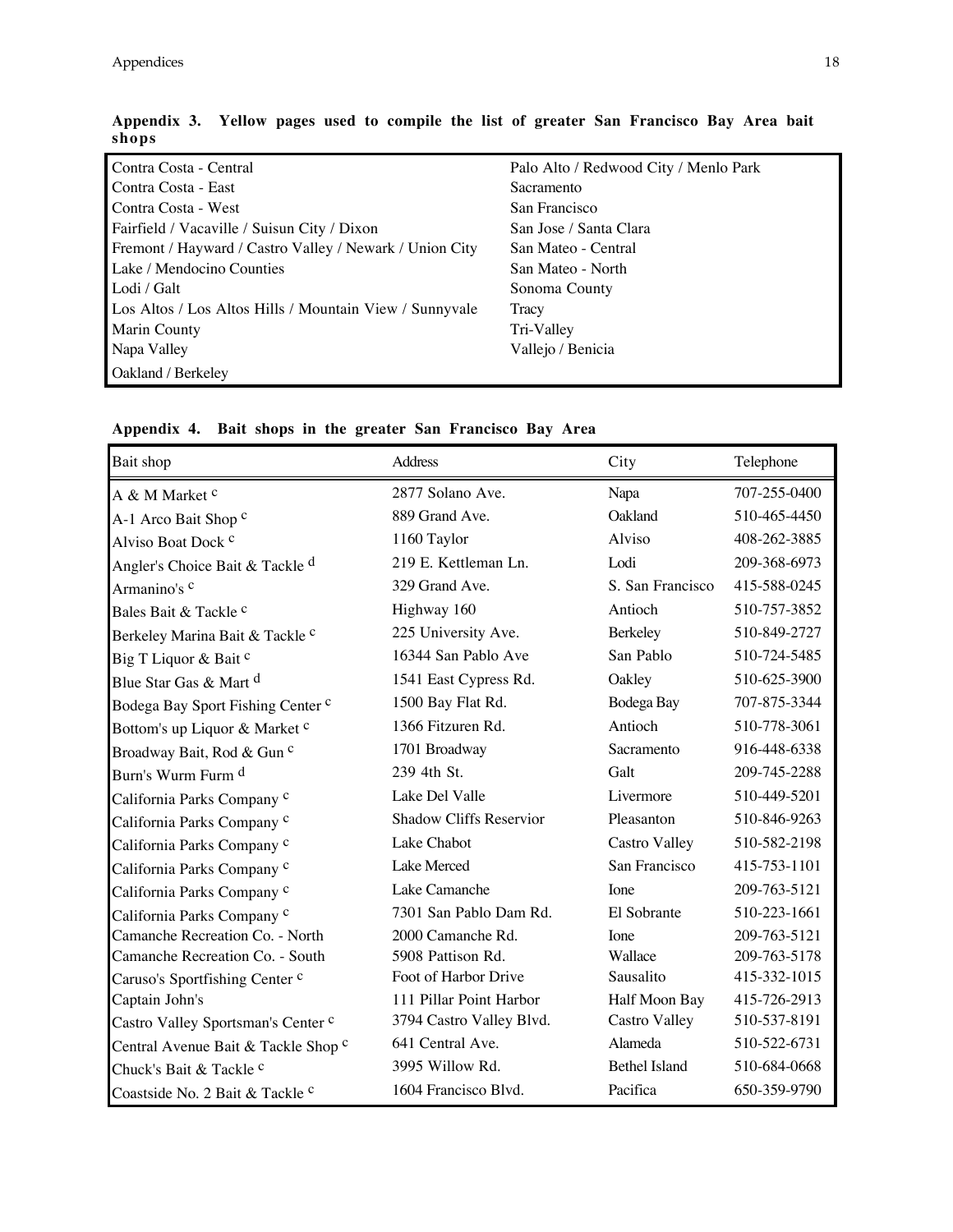| Contra Costa - Central                                  | Palo Alto / Redwood City / Menlo Park |
|---------------------------------------------------------|---------------------------------------|
| Contra Costa - East                                     | Sacramento                            |
| Contra Costa - West                                     | San Francisco                         |
| Fairfield / Vacaville / Suisun City / Dixon             | San Jose / Santa Clara                |
| Fremont / Hayward / Castro Valley / Newark / Union City | San Mateo - Central                   |
| Lake / Mendocino Counties                               | San Mateo - North                     |
| Lodi / Galt                                             | Sonoma County                         |
| Los Altos / Los Altos Hills / Mountain View / Sunnyvale | Tracy                                 |
| Marin County                                            | Tri-Valley                            |
| Napa Valley                                             | Vallejo / Benicia                     |
| Oakland / Berkeley                                      |                                       |

| Appendix 3. Yellow pages used to compile the list of greater San Francisco Bay Area bait |  |  |  |  |  |  |  |
|------------------------------------------------------------------------------------------|--|--|--|--|--|--|--|
| shops                                                                                    |  |  |  |  |  |  |  |

| Bait shop                                  | Address                  | City                 | Telephone    |
|--------------------------------------------|--------------------------|----------------------|--------------|
| A & M Market <sup>c</sup>                  | 2877 Solano Ave.         | Napa                 | 707-255-0400 |
| A-1 Arco Bait Shop c                       | 889 Grand Ave.           | Oakland              | 510-465-4450 |
| Alviso Boat Dock <sup>c</sup>              | 1160 Taylor              | Alviso               | 408-262-3885 |
| Angler's Choice Bait & Tackle <sup>d</sup> | 219 E. Kettleman Ln.     | Lodi                 | 209-368-6973 |
| Armanino's c                               | 329 Grand Ave.           | S. San Francisco     | 415-588-0245 |
| Bales Bait & Tackle <sup>c</sup>           | Highway 160              | Antioch              | 510-757-3852 |
| Berkeley Marina Bait & Tackle c            | 225 University Ave.      | Berkeley             | 510-849-2727 |
| Big T Liquor & Bait c                      | 16344 San Pablo Ave      | San Pablo            | 510-724-5485 |
| Blue Star Gas & Mart d                     | 1541 East Cypress Rd.    | Oakley               | 510-625-3900 |
| Bodega Bay Sport Fishing Center c          | 1500 Bay Flat Rd.        | Bodega Bay           | 707-875-3344 |
| Bottom's up Liquor & Market c              | 1366 Fitzuren Rd.        | Antioch              | 510-778-3061 |
| Broadway Bait, Rod & Gun c                 | 1701 Broadway            | Sacramento           | 916-448-6338 |
| Burn's Wurm Furm d                         | 239 4th St.              | Galt                 | 209-745-2288 |
| California Parks Company c                 | Lake Del Valle           | Livermore            | 510-449-5201 |
| California Parks Company c                 | Shadow Cliffs Reservior  | Pleasanton           | 510-846-9263 |
| California Parks Company c                 | Lake Chabot              | <b>Castro Valley</b> | 510-582-2198 |
| California Parks Company c                 | Lake Merced              | San Francisco        | 415-753-1101 |
| California Parks Company c                 | Lake Camanche            | Ione                 | 209-763-5121 |
| California Parks Company c                 | 7301 San Pablo Dam Rd.   | El Sobrante          | 510-223-1661 |
| Camanche Recreation Co. - North            | 2000 Camanche Rd.        | <b>I</b> one         | 209-763-5121 |
| Camanche Recreation Co. - South            | 5908 Pattison Rd.        | Wallace              | 209-763-5178 |
| Caruso's Sportfishing Center c             | Foot of Harbor Drive     | Sausalito            | 415-332-1015 |
| Captain John's                             | 111 Pillar Point Harbor  | Half Moon Bay        | 415-726-2913 |
| Castro Valley Sportsman's Center c         | 3794 Castro Valley Blvd. | <b>Castro Valley</b> | 510-537-8191 |
| Central Avenue Bait & Tackle Shop c        | 641 Central Ave.         | Alameda              | 510-522-6731 |
| Chuck's Bait & Tackle <sup>c</sup>         | 3995 Willow Rd.          | <b>Bethel Island</b> | 510-684-0668 |
| Coastside No. 2 Bait & Tackle c            | 1604 Francisco Blvd.     | Pacifica             | 650-359-9790 |

**Appendix 4. Bait shops in the greater San Francisco Bay Area**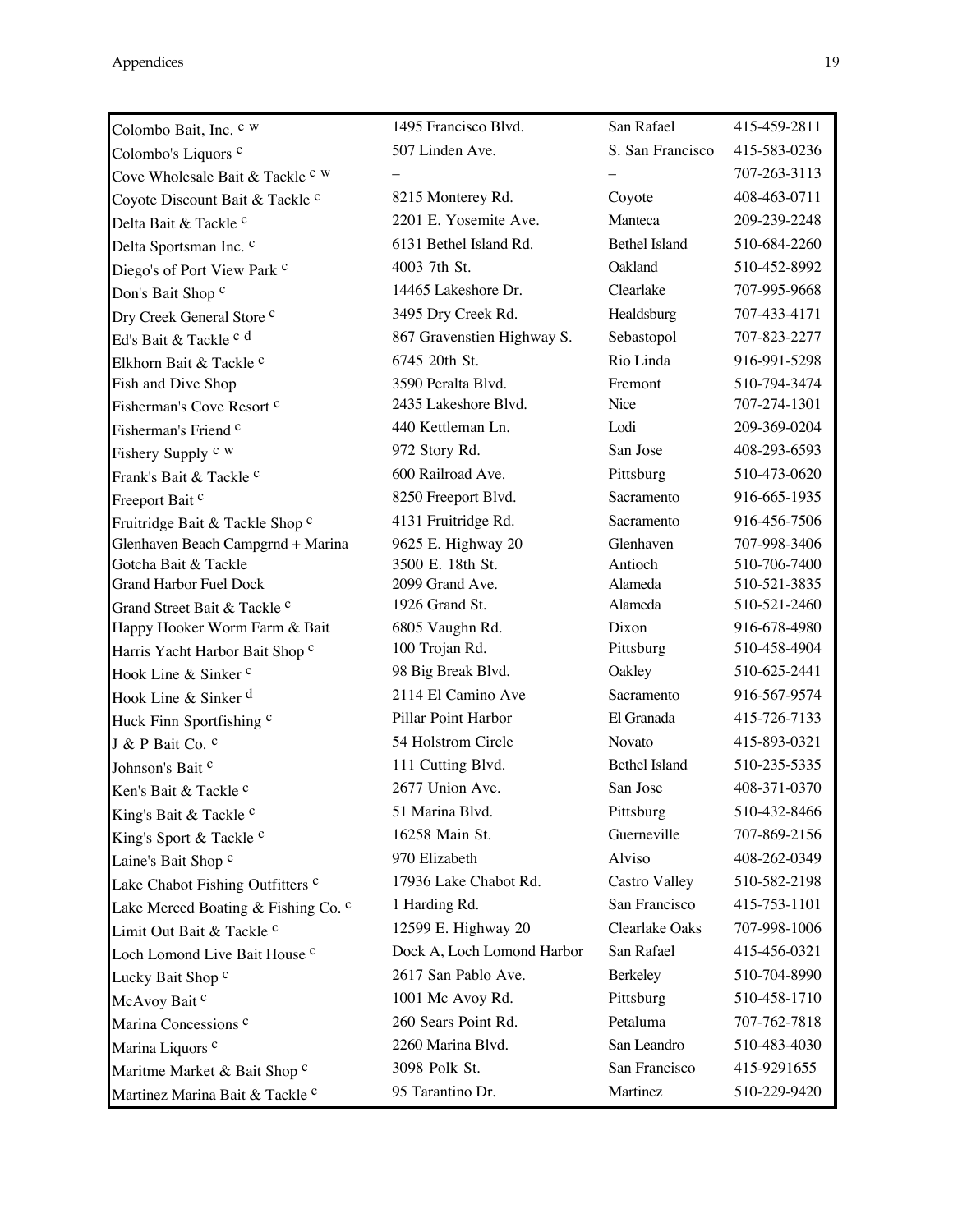Appendices 19

| Colombo Bait, Inc. c w              | 1495 Francisco Blvd.       | San Rafael           | 415-459-2811 |
|-------------------------------------|----------------------------|----------------------|--------------|
| Colombo's Liquors <sup>c</sup>      | 507 Linden Ave.            | S. San Francisco     | 415-583-0236 |
| Cove Wholesale Bait & Tackle c w    |                            |                      | 707-263-3113 |
| Coyote Discount Bait & Tackle c     | 8215 Monterey Rd.          | Coyote               | 408-463-0711 |
| Delta Bait & Tackle <sup>c</sup>    | 2201 E. Yosemite Ave.      | Manteca              | 209-239-2248 |
| Delta Sportsman Inc. c              | 6131 Bethel Island Rd.     | <b>Bethel Island</b> | 510-684-2260 |
| Diego's of Port View Park c         | 4003 7th St.               | Oakland              | 510-452-8992 |
| Don's Bait Shop c                   | 14465 Lakeshore Dr.        | Clearlake            | 707-995-9668 |
| Dry Creek General Store c           | 3495 Dry Creek Rd.         | Healdsburg           | 707-433-4171 |
| Ed's Bait & Tackle c d              | 867 Gravenstien Highway S. | Sebastopol           | 707-823-2277 |
| Elkhorn Bait & Tackle c             | 6745 20th St.              | Rio Linda            | 916-991-5298 |
| Fish and Dive Shop                  | 3590 Peralta Blvd.         | Fremont              | 510-794-3474 |
| Fisherman's Cove Resort c           | 2435 Lakeshore Blvd.       | Nice                 | 707-274-1301 |
| Fisherman's Friend <sup>c</sup>     | 440 Kettleman Ln.          | Lodi                 | 209-369-0204 |
| Fishery Supply c w                  | 972 Story Rd.              | San Jose             | 408-293-6593 |
| Frank's Bait & Tackle c             | 600 Railroad Ave.          | Pittsburg            | 510-473-0620 |
| Freeport Bait <sup>c</sup>          | 8250 Freeport Blvd.        | Sacramento           | 916-665-1935 |
| Fruitridge Bait & Tackle Shop c     | 4131 Fruitridge Rd.        | Sacramento           | 916-456-7506 |
| Glenhaven Beach Campgrnd + Marina   | 9625 E. Highway 20         | Glenhaven            | 707-998-3406 |
| Gotcha Bait & Tackle                | 3500 E. 18th St.           | Antioch              | 510-706-7400 |
| <b>Grand Harbor Fuel Dock</b>       | 2099 Grand Ave.            | Alameda              | 510-521-3835 |
| Grand Street Bait & Tackle c        | 1926 Grand St.             | Alameda              | 510-521-2460 |
| Happy Hooker Worm Farm & Bait       | 6805 Vaughn Rd.            | Dixon                | 916-678-4980 |
| Harris Yacht Harbor Bait Shop c     | 100 Trojan Rd.             | Pittsburg            | 510-458-4904 |
| Hook Line & Sinker <sup>c</sup>     | 98 Big Break Blvd.         | Oakley               | 510-625-2441 |
| Hook Line & Sinker <sup>d</sup>     | 2114 El Camino Ave         | Sacramento           | 916-567-9574 |
| Huck Finn Sportfishing c            | Pillar Point Harbor        | El Granada           | 415-726-7133 |
| J & P Bait Co. c                    | 54 Holstrom Circle         | Novato               | 415-893-0321 |
| Johnson's Bait c                    | 111 Cutting Blvd.          | Bethel Island        | 510-235-5335 |
| Ken's Bait & Tackle c               | 2677 Union Ave.            | San Jose             | 408-371-0370 |
| King's Bait & Tackle c              | 51 Marina Blvd.            | Pittsburg            | 510-432-8466 |
| King's Sport & Tackle c             | 16258 Main St.             | Guerneville          | 707-869-2156 |
| Laine's Bait Shop c                 | 970 Elizabeth              | Alviso               | 408-262-0349 |
| Lake Chabot Fishing Outfitters c    | 17936 Lake Chabot Rd.      | <b>Castro Valley</b> | 510-582-2198 |
| Lake Merced Boating & Fishing Co. c | 1 Harding Rd.              | San Francisco        | 415-753-1101 |
| Limit Out Bait & Tackle c           | 12599 E. Highway 20        | Clearlake Oaks       | 707-998-1006 |
| Loch Lomond Live Bait House c       | Dock A, Loch Lomond Harbor | San Rafael           | 415-456-0321 |
| Lucky Bait Shop c                   | 2617 San Pablo Ave.        | Berkeley             | 510-704-8990 |
| McAvoy Bait <sup>c</sup>            | 1001 Mc Avoy Rd.           | Pittsburg            | 510-458-1710 |
| Marina Concessions <sup>c</sup>     | 260 Sears Point Rd.        | Petaluma             | 707-762-7818 |
| Marina Liquors c                    | 2260 Marina Blvd.          | San Leandro          | 510-483-4030 |
| Maritme Market & Bait Shop c        | 3098 Polk St.              | San Francisco        | 415-9291655  |
| Martinez Marina Bait & Tackle c     | 95 Tarantino Dr.           | Martinez             | 510-229-9420 |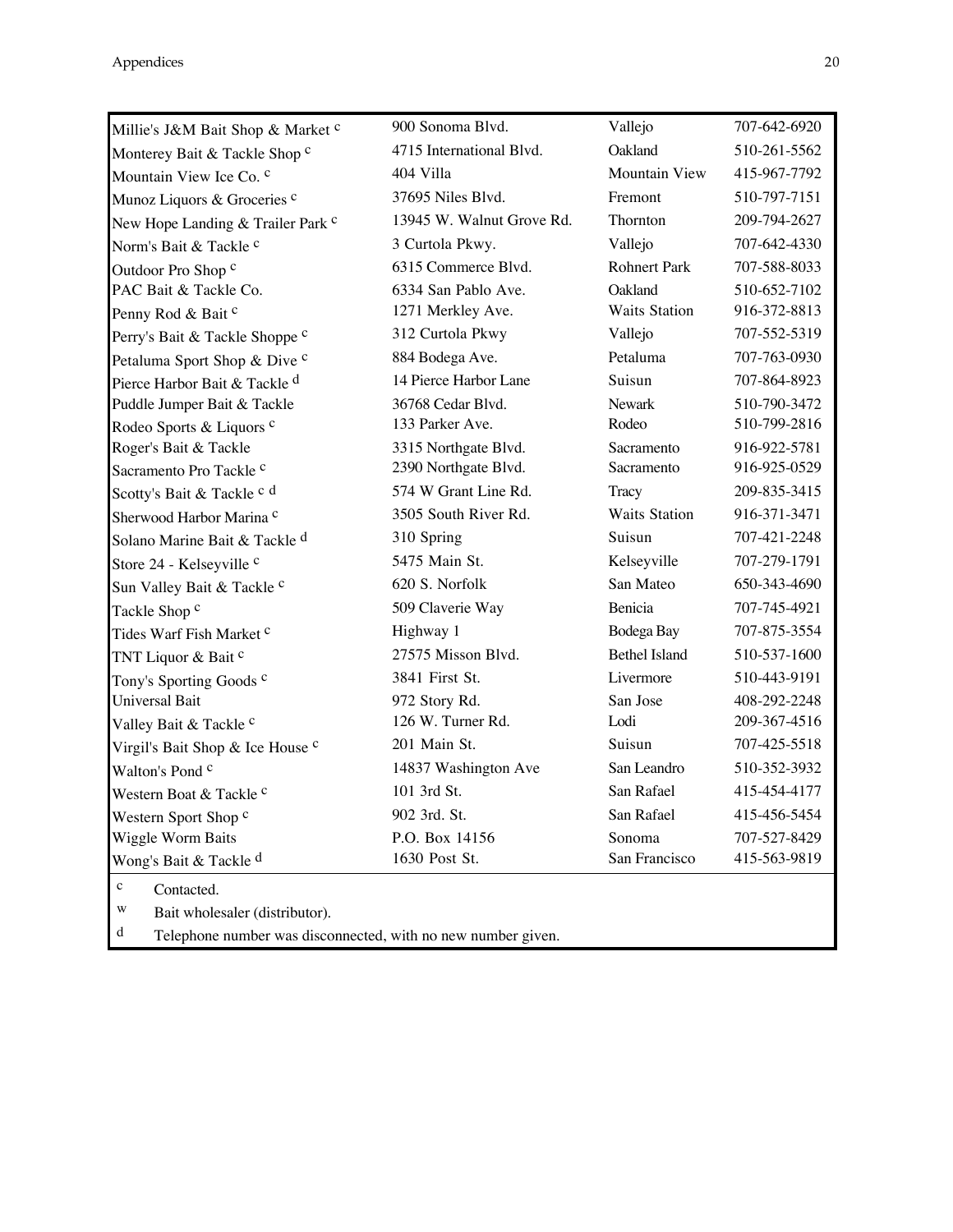| 4715 International Blvd.<br>404 Villa<br>37695 Niles Blvd.<br>13945 W. Walnut Grove Rd.<br>3 Curtola Pkwy.<br>6315 Commerce Blvd.<br>6334 San Pablo Ave.<br>1271 Merkley Ave.<br>312 Curtola Pkwy | Oakland<br><b>Mountain View</b><br>Fremont<br><b>Thornton</b><br>Vallejo<br><b>Rohnert Park</b><br>Oakland<br><b>Waits Station</b><br>Vallejo                                                                                                                                                                                                                                                                                                              | 510-261-5562<br>415-967-7792<br>510-797-7151<br>209-794-2627<br>707-642-4330<br>707-588-8033<br>510-652-7102<br>916-372-8813                                                                                                                                                                                      |
|---------------------------------------------------------------------------------------------------------------------------------------------------------------------------------------------------|------------------------------------------------------------------------------------------------------------------------------------------------------------------------------------------------------------------------------------------------------------------------------------------------------------------------------------------------------------------------------------------------------------------------------------------------------------|-------------------------------------------------------------------------------------------------------------------------------------------------------------------------------------------------------------------------------------------------------------------------------------------------------------------|
|                                                                                                                                                                                                   |                                                                                                                                                                                                                                                                                                                                                                                                                                                            |                                                                                                                                                                                                                                                                                                                   |
|                                                                                                                                                                                                   |                                                                                                                                                                                                                                                                                                                                                                                                                                                            |                                                                                                                                                                                                                                                                                                                   |
|                                                                                                                                                                                                   |                                                                                                                                                                                                                                                                                                                                                                                                                                                            |                                                                                                                                                                                                                                                                                                                   |
|                                                                                                                                                                                                   |                                                                                                                                                                                                                                                                                                                                                                                                                                                            |                                                                                                                                                                                                                                                                                                                   |
|                                                                                                                                                                                                   |                                                                                                                                                                                                                                                                                                                                                                                                                                                            |                                                                                                                                                                                                                                                                                                                   |
|                                                                                                                                                                                                   |                                                                                                                                                                                                                                                                                                                                                                                                                                                            |                                                                                                                                                                                                                                                                                                                   |
|                                                                                                                                                                                                   |                                                                                                                                                                                                                                                                                                                                                                                                                                                            |                                                                                                                                                                                                                                                                                                                   |
|                                                                                                                                                                                                   |                                                                                                                                                                                                                                                                                                                                                                                                                                                            |                                                                                                                                                                                                                                                                                                                   |
|                                                                                                                                                                                                   |                                                                                                                                                                                                                                                                                                                                                                                                                                                            | 707-552-5319                                                                                                                                                                                                                                                                                                      |
|                                                                                                                                                                                                   |                                                                                                                                                                                                                                                                                                                                                                                                                                                            | 707-763-0930                                                                                                                                                                                                                                                                                                      |
|                                                                                                                                                                                                   |                                                                                                                                                                                                                                                                                                                                                                                                                                                            | 707-864-8923                                                                                                                                                                                                                                                                                                      |
|                                                                                                                                                                                                   |                                                                                                                                                                                                                                                                                                                                                                                                                                                            | 510-790-3472                                                                                                                                                                                                                                                                                                      |
|                                                                                                                                                                                                   |                                                                                                                                                                                                                                                                                                                                                                                                                                                            | 510-799-2816                                                                                                                                                                                                                                                                                                      |
|                                                                                                                                                                                                   |                                                                                                                                                                                                                                                                                                                                                                                                                                                            | 916-922-5781                                                                                                                                                                                                                                                                                                      |
|                                                                                                                                                                                                   |                                                                                                                                                                                                                                                                                                                                                                                                                                                            | 916-925-0529                                                                                                                                                                                                                                                                                                      |
|                                                                                                                                                                                                   |                                                                                                                                                                                                                                                                                                                                                                                                                                                            | 209-835-3415                                                                                                                                                                                                                                                                                                      |
|                                                                                                                                                                                                   |                                                                                                                                                                                                                                                                                                                                                                                                                                                            | 916-371-3471                                                                                                                                                                                                                                                                                                      |
|                                                                                                                                                                                                   |                                                                                                                                                                                                                                                                                                                                                                                                                                                            | 707-421-2248                                                                                                                                                                                                                                                                                                      |
|                                                                                                                                                                                                   |                                                                                                                                                                                                                                                                                                                                                                                                                                                            | 707-279-1791                                                                                                                                                                                                                                                                                                      |
|                                                                                                                                                                                                   |                                                                                                                                                                                                                                                                                                                                                                                                                                                            | 650-343-4690                                                                                                                                                                                                                                                                                                      |
|                                                                                                                                                                                                   |                                                                                                                                                                                                                                                                                                                                                                                                                                                            | 707-745-4921                                                                                                                                                                                                                                                                                                      |
|                                                                                                                                                                                                   |                                                                                                                                                                                                                                                                                                                                                                                                                                                            | 707-875-3554                                                                                                                                                                                                                                                                                                      |
|                                                                                                                                                                                                   |                                                                                                                                                                                                                                                                                                                                                                                                                                                            | 510-537-1600                                                                                                                                                                                                                                                                                                      |
|                                                                                                                                                                                                   |                                                                                                                                                                                                                                                                                                                                                                                                                                                            | 510-443-9191                                                                                                                                                                                                                                                                                                      |
|                                                                                                                                                                                                   |                                                                                                                                                                                                                                                                                                                                                                                                                                                            | 408-292-2248                                                                                                                                                                                                                                                                                                      |
|                                                                                                                                                                                                   |                                                                                                                                                                                                                                                                                                                                                                                                                                                            | 209-367-4516                                                                                                                                                                                                                                                                                                      |
|                                                                                                                                                                                                   |                                                                                                                                                                                                                                                                                                                                                                                                                                                            | 707-425-5518                                                                                                                                                                                                                                                                                                      |
|                                                                                                                                                                                                   |                                                                                                                                                                                                                                                                                                                                                                                                                                                            | 510-352-3932                                                                                                                                                                                                                                                                                                      |
|                                                                                                                                                                                                   |                                                                                                                                                                                                                                                                                                                                                                                                                                                            | 415-454-4177                                                                                                                                                                                                                                                                                                      |
|                                                                                                                                                                                                   |                                                                                                                                                                                                                                                                                                                                                                                                                                                            | 415-456-5454                                                                                                                                                                                                                                                                                                      |
|                                                                                                                                                                                                   |                                                                                                                                                                                                                                                                                                                                                                                                                                                            | 707-527-8429                                                                                                                                                                                                                                                                                                      |
|                                                                                                                                                                                                   |                                                                                                                                                                                                                                                                                                                                                                                                                                                            | 415-563-9819                                                                                                                                                                                                                                                                                                      |
|                                                                                                                                                                                                   | 884 Bodega Ave.<br>14 Pierce Harbor Lane<br>36768 Cedar Blvd.<br>133 Parker Ave.<br>3315 Northgate Blvd.<br>2390 Northgate Blvd.<br>574 W Grant Line Rd.<br>3505 South River Rd.<br>310 Spring<br>5475 Main St.<br>620 S. Norfolk<br>509 Claverie Way<br>Highway 1<br>27575 Misson Blvd.<br>3841 First St.<br>972 Story Rd.<br>126 W. Turner Rd.<br>201 Main St.<br>14837 Washington Ave<br>101 3rd St.<br>902 3rd. St.<br>P.O. Box 14156<br>1630 Post St. | Petaluma<br>Suisun<br><b>Newark</b><br>Rodeo<br>Sacramento<br>Sacramento<br>Tracy<br><b>Waits Station</b><br>Suisun<br>Kelseyville<br>San Mateo<br>Benicia<br>Bodega Bay<br><b>Bethel Island</b><br>Livermore<br>San Jose<br>Lodi<br>Suisun<br>San Leandro<br>San Rafael<br>San Rafael<br>Sonoma<br>San Francisco |

c Contacted.

w Bait wholesaler (distributor).<br>d Telephone number was disco

Telephone number was disconnected, with no new number given.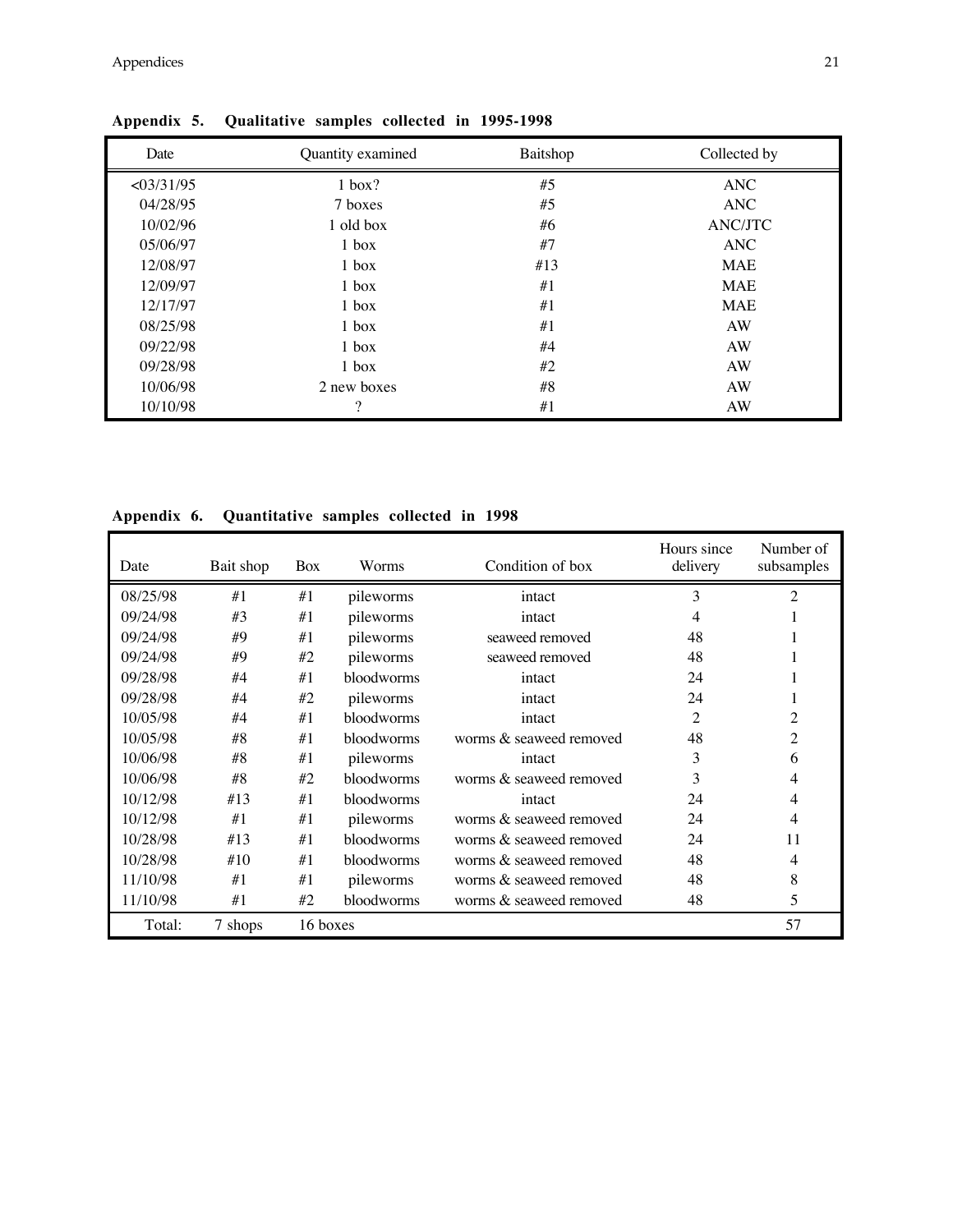| Date        | Quantity examined | Baitshop | Collected by   |
|-------------|-------------------|----------|----------------|
| < 0.3/31/95 | $1$ box?          | #5       | ANC            |
| 04/28/95    | 7 boxes           | #5       | <b>ANC</b>     |
| 10/02/96    | 1 old box         | #6       | <b>ANC/JTC</b> |
| 05/06/97    | $1$ box           | #7       | <b>ANC</b>     |
| 12/08/97    | $1$ box           | #13      | <b>MAE</b>     |
| 12/09/97    | $1$ box           | #1       | <b>MAE</b>     |
| 12/17/97    | $1$ box           | #1       | <b>MAE</b>     |
| 08/25/98    | $1$ box           | #1       | AW             |
| 09/22/98    | $1$ box           | #4       | AW             |
| 09/28/98    | $1$ box           | #2       | AW             |
| 10/06/98    | 2 new boxes       | #8       | AW             |
| 10/10/98    | $\Omega$          | #1       | AW             |

**Appendix 5. Qualitative samples collected in 1995-1998**

**Appendix 6. Quantitative samples collected in 1998**

| Date     | Bait shop | Box      | Worms      | Condition of box        | Hours since<br>delivery | Number of<br>subsamples |
|----------|-----------|----------|------------|-------------------------|-------------------------|-------------------------|
| 08/25/98 | #1        | #1       | pileworms  | intact                  | 3                       | 2                       |
| 09/24/98 | #3        | #1       | pileworms  | intact                  | 4                       |                         |
| 09/24/98 | #9        | #1       | pileworms  | seaweed removed         | 48                      |                         |
| 09/24/98 | #9        | #2       | pileworms  | seaweed removed         | 48                      |                         |
| 09/28/98 | #4        | #1       | bloodworms | intact                  | 24                      |                         |
| 09/28/98 | #4        | #2       | pileworms  | intact                  | 24                      |                         |
| 10/05/98 | #4        | #1       | bloodworms | intact                  | $\overline{c}$          | $\overline{c}$          |
| 10/05/98 | #8        | #1       | bloodworms | worms & seaweed removed | 48                      | 2                       |
| 10/06/98 | #8        | #1       | pileworms  | intact                  | 3                       | 6                       |
| 10/06/98 | #8        | #2       | bloodworms | worms & seaweed removed | 3                       | 4                       |
| 10/12/98 | #13       | #1       | bloodworms | intact                  | 24                      | 4                       |
| 10/12/98 | #1        | #1       | pileworms  | worms & seaweed removed | 24                      | 4                       |
| 10/28/98 | #13       | #1       | bloodworms | worms & seaweed removed | 24                      | 11                      |
| 10/28/98 | #10       | #1       | bloodworms | worms & seaweed removed | 48                      | 4                       |
| 11/10/98 | #1        | #1       | pileworms  | worms & seaweed removed | 48                      | 8                       |
| 11/10/98 | #1        | #2       | bloodworms | worms & seaweed removed | 48                      | 5                       |
| Total:   | 7 shops   | 16 boxes |            |                         |                         | 57                      |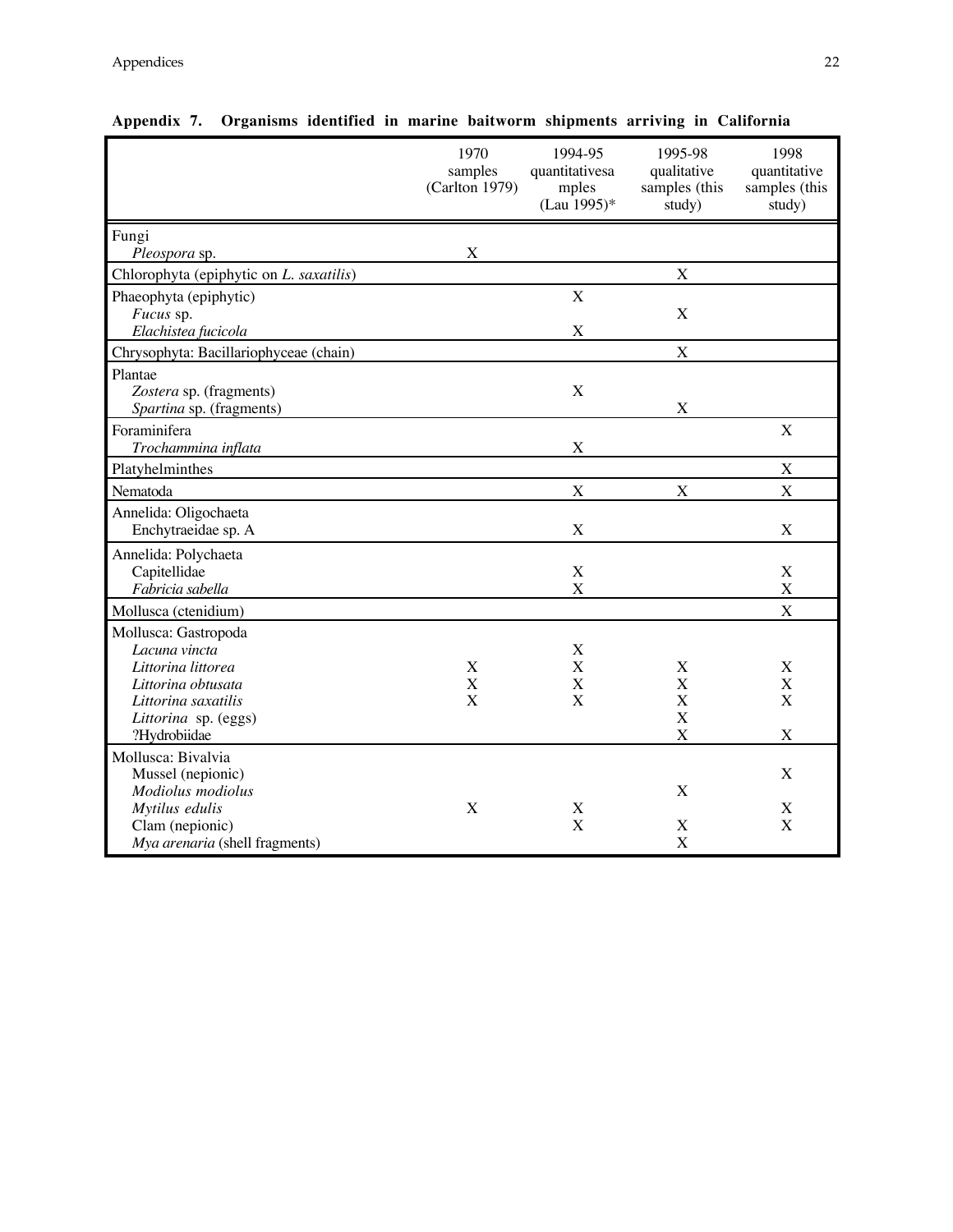|                                         | 1970<br>samples<br>(Carlton 1979) | 1994-95<br>quantitativesa<br>mples<br>(Lau 1995)* | 1995-98<br>qualitative<br>samples (this<br>study) | 1998<br>quantitative<br>samples (this<br>study) |
|-----------------------------------------|-----------------------------------|---------------------------------------------------|---------------------------------------------------|-------------------------------------------------|
| Fungi                                   |                                   |                                                   |                                                   |                                                 |
| Pleospora sp.                           | X                                 |                                                   |                                                   |                                                 |
| Chlorophyta (epiphytic on L. saxatilis) |                                   |                                                   | $\mathbf X$                                       |                                                 |
| Phaeophyta (epiphytic)                  |                                   | X                                                 | X                                                 |                                                 |
| Fucus sp.<br>Elachistea fucicola        |                                   | X                                                 |                                                   |                                                 |
| Chrysophyta: Bacillariophyceae (chain)  |                                   |                                                   | X                                                 |                                                 |
| Plantae                                 |                                   |                                                   |                                                   |                                                 |
| Zostera sp. (fragments)                 |                                   | $\mathbf X$                                       |                                                   |                                                 |
| Spartina sp. (fragments)                |                                   |                                                   | X                                                 |                                                 |
| Foraminifera                            |                                   |                                                   |                                                   | $\mathbf X$                                     |
| Trochammina inflata                     |                                   | X                                                 |                                                   |                                                 |
| Platyhelminthes                         |                                   |                                                   |                                                   | $\boldsymbol{\mathrm{X}}$                       |
| Nematoda                                |                                   | X                                                 | X                                                 | X                                               |
| Annelida: Oligochaeta                   |                                   |                                                   |                                                   |                                                 |
| Enchytraeidae sp. A                     |                                   | X                                                 |                                                   | $\mathbf X$                                     |
| Annelida: Polychaeta                    |                                   |                                                   |                                                   |                                                 |
| Capitellidae                            |                                   | X                                                 |                                                   | $\mathbf X$                                     |
| Fabricia sabella                        |                                   | X                                                 |                                                   | X                                               |
| Mollusca (ctenidium)                    |                                   |                                                   |                                                   | X                                               |
| Mollusca: Gastropoda                    |                                   |                                                   |                                                   |                                                 |
| Lacuna vincta<br>Littorina littorea     | $\mathbf X$                       | X<br>X                                            | X                                                 | X                                               |
| Littorina obtusata                      | $\mathbf X$                       | X                                                 | X                                                 | $\boldsymbol{\mathrm{X}}$                       |
| Littorina saxatilis                     | $\mathbf X$                       | X                                                 | X                                                 | $\mathbf X$                                     |
| Littorina sp. (eggs)                    |                                   |                                                   | X                                                 |                                                 |
| ?Hydrobiidae                            |                                   |                                                   | X                                                 | X                                               |
| Mollusca: Bivalvia                      |                                   |                                                   |                                                   |                                                 |
| Mussel (nepionic)                       |                                   |                                                   |                                                   | X                                               |
| Modiolus modiolus                       |                                   |                                                   | X                                                 |                                                 |
| Mytilus edulis<br>Clam (nepionic)       | X                                 | X<br>X                                            | X                                                 | X<br>$\mathbf X$                                |
| Mya arenaria (shell fragments)          |                                   |                                                   | X                                                 |                                                 |
|                                         |                                   |                                                   |                                                   |                                                 |

**Appendix 7. Organisms identified in marine baitworm shipments arriving in California**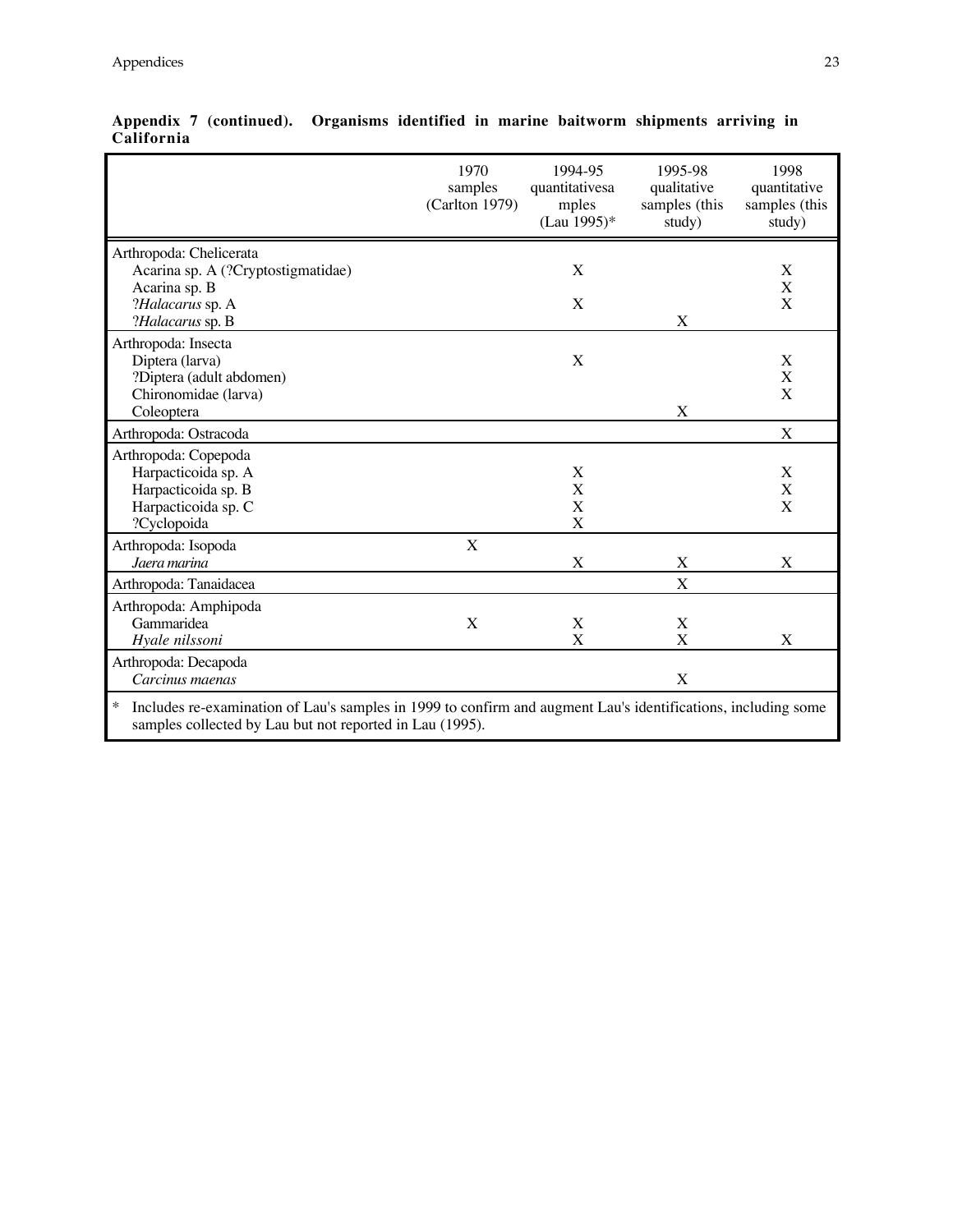|                                                                                                                         | 1970<br>samples<br>(Carlton 1979) | 1994-95<br>quantitativesa<br>mples<br>(Lau 1995)* | 1995-98<br>qualitative<br>samples (this<br>study) | 1998<br>quantitative<br>samples (this<br>study) |
|-------------------------------------------------------------------------------------------------------------------------|-----------------------------------|---------------------------------------------------|---------------------------------------------------|-------------------------------------------------|
| Arthropoda: Chelicerata                                                                                                 |                                   |                                                   |                                                   |                                                 |
| Acarina sp. A (?Cryptostigmatidae)                                                                                      |                                   | X                                                 |                                                   | X<br>X                                          |
| Acarina sp. B<br>?Halacarus sp. A                                                                                       |                                   | X                                                 |                                                   | $\mathbf X$                                     |
| ?Halacarus sp. B                                                                                                        |                                   |                                                   | X                                                 |                                                 |
| Arthropoda: Insecta                                                                                                     |                                   |                                                   |                                                   |                                                 |
| Diptera (larva)                                                                                                         |                                   | X                                                 |                                                   | X                                               |
| ?Diptera (adult abdomen)                                                                                                |                                   |                                                   |                                                   | $\mathbf X$                                     |
| Chironomidae (larva)                                                                                                    |                                   |                                                   |                                                   | X                                               |
| Coleoptera                                                                                                              |                                   |                                                   | X                                                 |                                                 |
| Arthropoda: Ostracoda                                                                                                   |                                   |                                                   |                                                   | X                                               |
| Arthropoda: Copepoda                                                                                                    |                                   |                                                   |                                                   |                                                 |
| Harpacticoida sp. A                                                                                                     |                                   | X                                                 |                                                   | X                                               |
| Harpacticoida sp. B                                                                                                     |                                   | X                                                 |                                                   | X                                               |
| Harpacticoida sp. C                                                                                                     |                                   | X                                                 |                                                   | X                                               |
| ?Cyclopoida                                                                                                             |                                   | X                                                 |                                                   |                                                 |
| Arthropoda: Isopoda                                                                                                     | X                                 |                                                   |                                                   |                                                 |
| Jaera marina                                                                                                            |                                   | X                                                 | X                                                 | X                                               |
| Arthropoda: Tanaidacea                                                                                                  |                                   |                                                   | X                                                 |                                                 |
| Arthropoda: Amphipoda                                                                                                   |                                   |                                                   |                                                   |                                                 |
| Gammaridea                                                                                                              | X                                 | X                                                 | X                                                 |                                                 |
| Hyale nilssoni                                                                                                          |                                   | X                                                 | X                                                 | X                                               |
| Arthropoda: Decapoda                                                                                                    |                                   |                                                   |                                                   |                                                 |
| Carcinus maenas                                                                                                         |                                   |                                                   | X                                                 |                                                 |
| $\ast$<br>Includes re-examination of Lau's samples in 1999 to confirm and augment Lau's identifications, including some |                                   |                                                   |                                                   |                                                 |

**Appendix 7 (continued). Organisms identified in marine baitworm shipments arriving in California**

samples collected by Lau but not reported in Lau (1995).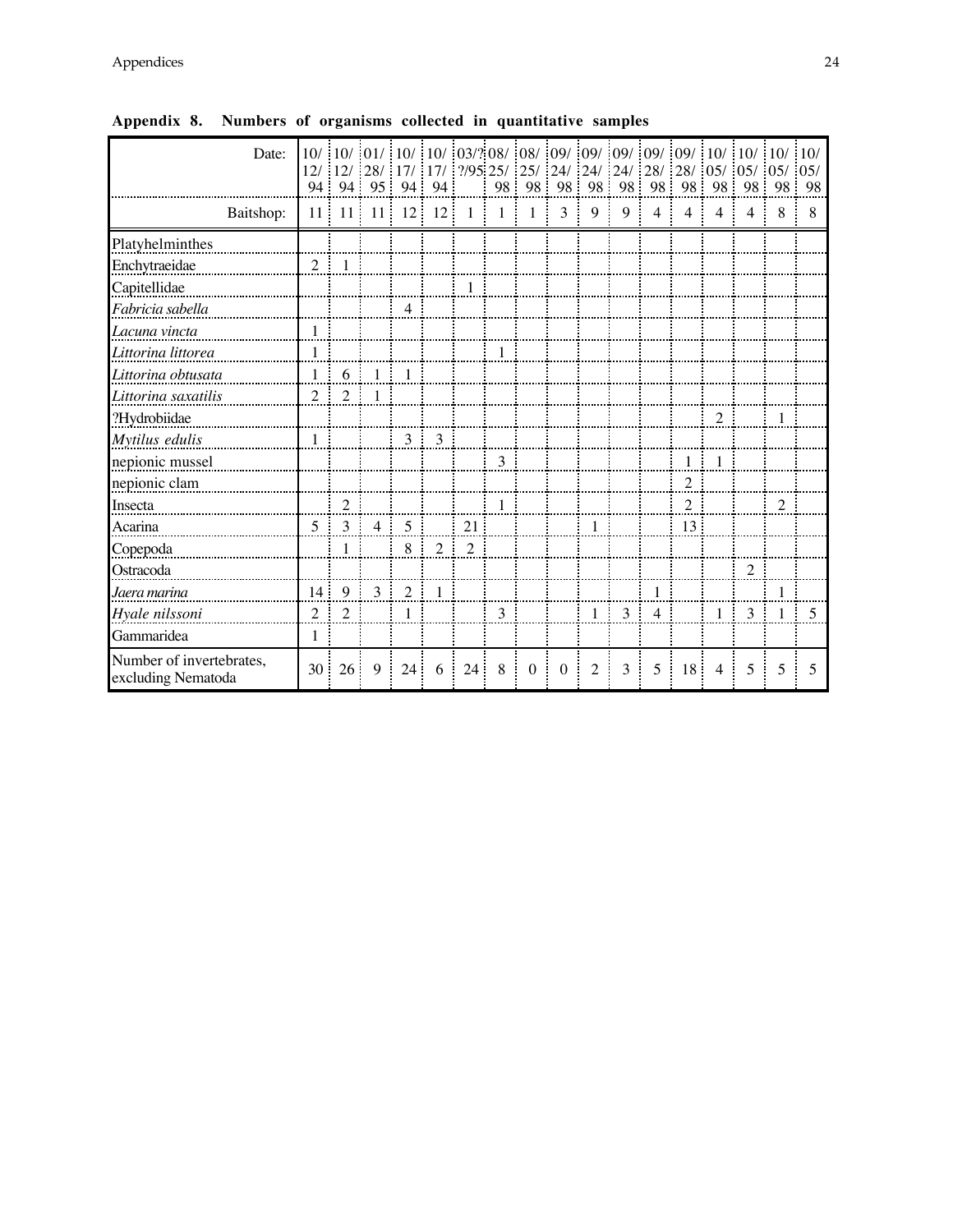| Date:                                          | 94              |                | 10/ 10/ 10/ 10/ 10/ 10/ 03/? 08/ 08/ 09/ 09/ 09/ 09/ 09/ 09/ 10/ 10/ 10/ 10/<br>12/ 12/ 28/ 17/ 17/ 17/ 295 25/ 22/ 24/ 24/ 24/ 28/ 28/ 05/ 05/ 05/ 05/<br>94 95 94 94 |                |                |                |              | 98 98          |          |    |   |                | : 98: 98: 98: 98: 98: 98: 98: 98: 98 |                |                |                |     |
|------------------------------------------------|-----------------|----------------|------------------------------------------------------------------------------------------------------------------------------------------------------------------------|----------------|----------------|----------------|--------------|----------------|----------|----|---|----------------|--------------------------------------|----------------|----------------|----------------|-----|
| Baitshop:                                      | 11:             | 11:            | 11:                                                                                                                                                                    | 12             | 12             | $\overline{1}$ | 1            | $\overline{1}$ | 3        | 9  | 9 | $\overline{4}$ | $\overline{4}$                       | 4              | $\overline{4}$ | 8              | 8   |
| Platyhelminthes                                |                 |                |                                                                                                                                                                        |                |                |                |              |                |          |    |   |                |                                      |                |                |                |     |
| Enchytraeidae                                  | $2 -$           | $\mathbf{1}$   |                                                                                                                                                                        |                |                |                |              |                |          |    |   |                |                                      |                |                |                |     |
| Capitellidae                                   |                 |                |                                                                                                                                                                        |                |                | -1             |              |                |          |    |   |                |                                      |                |                |                |     |
| Fabricia sabella                               |                 |                |                                                                                                                                                                        | $\overline{4}$ |                |                |              |                |          |    |   |                |                                      |                |                |                |     |
| Lacuna vincta                                  |                 |                |                                                                                                                                                                        |                |                |                |              |                |          |    |   |                |                                      |                |                |                |     |
| Littorina littorea                             |                 |                |                                                                                                                                                                        |                |                |                |              |                |          |    |   |                |                                      |                |                |                |     |
| Littorina obtusata                             |                 | 6              |                                                                                                                                                                        |                |                |                |              |                |          |    |   |                |                                      |                |                |                |     |
| Littorina saxatilis                            | $\mathfrak{2}$  | $\overline{2}$ |                                                                                                                                                                        |                |                |                |              |                |          |    |   |                |                                      |                |                |                |     |
| ?Hydrobiidae                                   |                 |                |                                                                                                                                                                        |                |                |                |              |                |          |    |   |                |                                      | $\overline{2}$ |                | $\overline{1}$ |     |
| Mytilus edulis                                 | 1               |                |                                                                                                                                                                        | $\mathbf{3}$   | 3<br>÷         |                |              |                |          |    |   |                |                                      |                |                |                |     |
| nepionic mussel                                |                 |                |                                                                                                                                                                        |                |                |                | 3            |                |          |    |   |                | $\mathbf{1}$                         | $\mathbf{1}$   |                |                |     |
| nepionic clam                                  |                 |                |                                                                                                                                                                        |                |                |                |              |                |          |    |   |                | $\overline{c}$                       |                |                |                |     |
| Insecta                                        |                 | $\sqrt{2}$     |                                                                                                                                                                        |                |                |                | $\mathbf{1}$ |                |          |    |   |                | $\overline{c}$                       |                |                | $\overline{2}$ |     |
| Acarina                                        | $5 \cdot$       | $\mathfrak{Z}$ | 4                                                                                                                                                                      | 5              |                | 21             |              |                |          |    |   |                | 13                                   |                |                |                |     |
| Copepoda                                       |                 | 1              |                                                                                                                                                                        | 8              | 2              | 2              |              |                |          |    |   |                |                                      |                |                |                |     |
| Ostracoda                                      |                 |                |                                                                                                                                                                        |                |                |                |              |                |          |    |   |                |                                      |                | 2              |                |     |
| Jaera marina                                   | 14:             | 9              | $3 -$                                                                                                                                                                  | 2              | $\overline{1}$ |                |              |                |          |    |   |                |                                      |                |                |                |     |
| Hyale nilssoni                                 | 2               | $\overline{2}$ |                                                                                                                                                                        | 1              |                |                | 3            |                |          | 1: | 3 | $\overline{4}$ |                                      | 1              | 3              |                | - 5 |
| Gammaridea                                     | 1               |                |                                                                                                                                                                        |                |                |                |              |                |          |    |   |                |                                      |                |                |                |     |
| Number of invertebrates,<br>excluding Nematoda | 30 <sup>1</sup> | 26 ·           | 9                                                                                                                                                                      | 24             | 6              | 24             | 8            | $\theta$       | $\Omega$ | 2  | 3 | $\overline{5}$ | 18 <sup>1</sup>                      | $\overline{4}$ | 5              | 5              | -5  |

**Appendix 8. Numbers of organisms collected in quantitative samples**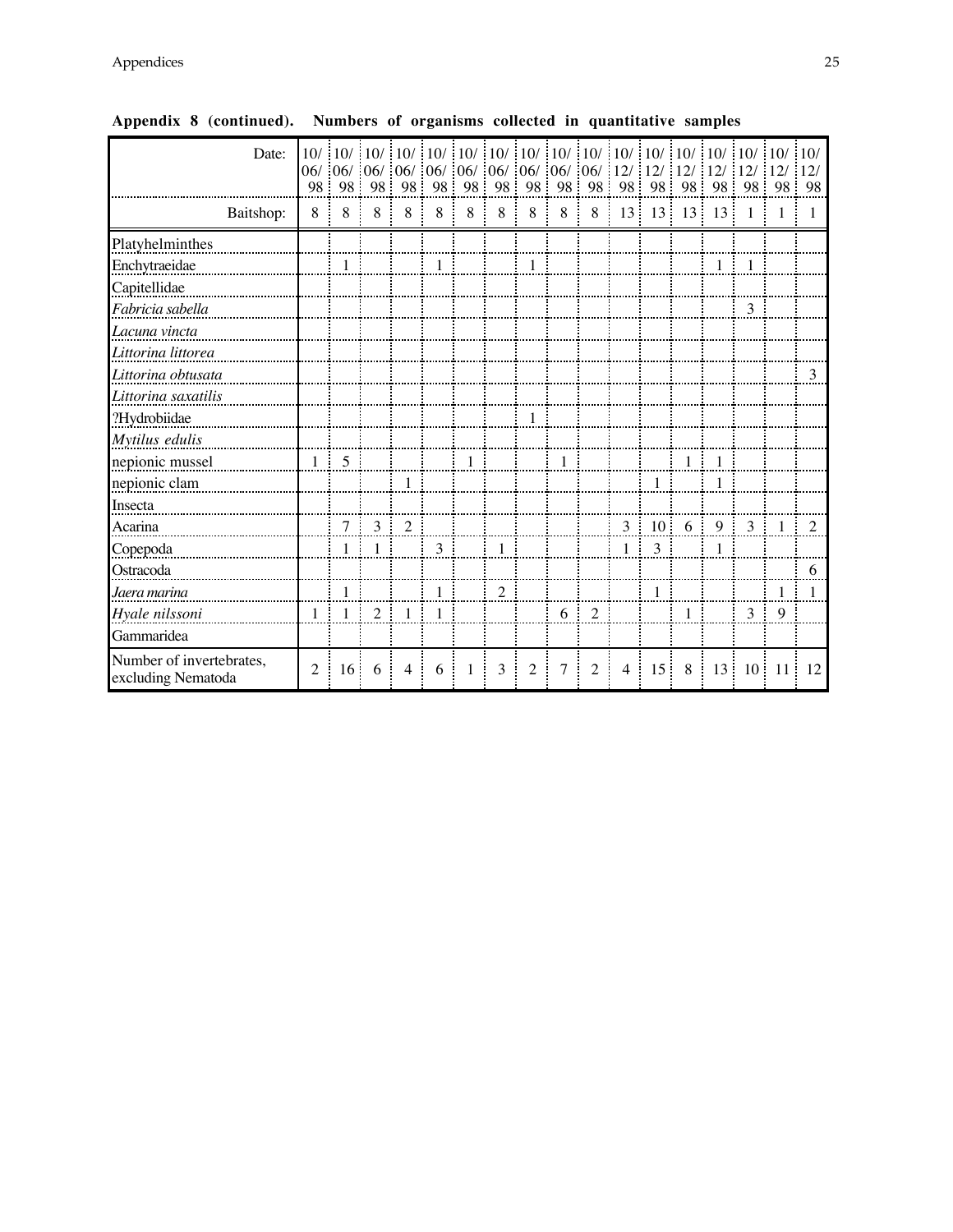| Date:                                          |                |                 |                |                |              |                  |                                                                         |                |              |                |                |                 |                |                |                | $-10/10/$   |                |
|------------------------------------------------|----------------|-----------------|----------------|----------------|--------------|------------------|-------------------------------------------------------------------------|----------------|--------------|----------------|----------------|-----------------|----------------|----------------|----------------|-------------|----------------|
|                                                |                |                 |                |                |              |                  | $06/$ $06/$ $06/$ $06/$ $06/$ $06/$ $06/$ $06/$ $06/$ $06/$ $06/$ $12/$ |                |              |                |                | 12/12           |                | 12/            | 12/            | 12/         | 12/            |
|                                                | 98             | 98              | 98             | -98            | 98           | 98               | 98                                                                      |                |              | 98 98 98       |                | 98 98 98        | ÷              | 98             | 98             | 98          | -98            |
| Baitshop:                                      | 8              | 8               | 8              | 8              | 8            | 8                | 8                                                                       | 8              | 8            | 8              | 13             | $13 -$          | $13 -$         | 13             | $\overline{1}$ |             | -1             |
| Platyhelminthes                                |                |                 |                |                |              |                  |                                                                         |                |              |                |                |                 |                |                |                |             |                |
| Enchytraeidae                                  |                | 1               |                |                | $\mathbf{1}$ |                  |                                                                         | $\overline{1}$ |              |                |                |                 |                | $1 \quad 1$    |                |             |                |
| Capitellidae                                   |                |                 |                |                |              |                  |                                                                         |                |              |                |                |                 |                |                |                |             |                |
| Fabricia sabella                               |                |                 |                |                |              |                  |                                                                         |                | .            |                |                |                 |                |                | $\mathfrak{Z}$ |             |                |
| Lacuna vincta                                  |                |                 |                |                |              |                  |                                                                         |                |              |                |                |                 |                |                |                |             |                |
| Littorina littorea                             |                |                 |                |                |              |                  |                                                                         |                |              |                |                |                 |                |                |                |             |                |
| Littorina obtusata                             |                |                 |                |                |              |                  |                                                                         |                |              |                |                |                 |                |                |                |             | 3              |
| Littorina saxatilis                            |                |                 |                |                |              |                  |                                                                         |                |              |                |                |                 |                |                |                |             |                |
| ?Hydrobiidae                                   |                |                 |                |                |              |                  |                                                                         | -1             |              |                |                |                 |                |                |                |             |                |
| Mytilus edulis                                 |                |                 |                |                |              |                  |                                                                         |                |              |                |                |                 |                |                |                |             |                |
| nepionic mussel                                | $1 \cdot$      | $\overline{5}$  |                |                |              | $\left  \right $ |                                                                         |                | $\mathbf{1}$ |                |                |                 | $\mathbf{1}$   | $\overline{1}$ |                |             |                |
| nepionic clam                                  |                |                 |                | -1             |              |                  |                                                                         |                |              |                |                | $\mathbf{1}$    |                | 1              |                |             |                |
| Insecta                                        |                |                 |                |                |              |                  |                                                                         |                |              |                |                |                 |                |                |                |             |                |
| Acarina                                        |                | 7 <sup>1</sup>  | 3              | $\overline{2}$ |              |                  |                                                                         |                |              |                |                | $3 \t10 \t6$    |                | 9              | 3 <sup>1</sup> | -1          | <sup>2</sup>   |
| Copepoda                                       |                | 1               |                |                | 3            |                  | $\mathbf{1}$                                                            |                |              |                | 1 <sup>1</sup> | $\mathfrak{Z}$  |                | $\mathbf{1}$   |                |             |                |
| Ostracoda                                      |                |                 |                |                |              |                  |                                                                         |                |              |                |                |                 |                |                |                |             | 6              |
| Jaera marina                                   |                | $\mathbf{1}$    |                |                | 1            |                  | $\overline{2}$                                                          |                |              |                |                | $\mathbf{1}$    |                |                |                | 1:          | $\overline{1}$ |
| Hyale nilssoni                                 | 1              | -1              | $\overline{2}$ | -1             | -1           |                  |                                                                         |                | -6           | 2<br>÷         |                |                 | $\overline{1}$ |                | 3 <sup>1</sup> | 9           |                |
| Gammaridea                                     |                |                 |                |                |              |                  |                                                                         |                |              |                |                |                 |                |                |                |             |                |
| Number of invertebrates,<br>excluding Nematoda | $\overline{2}$ | 16 <sup>1</sup> | 6              | $\overline{4}$ | 6            | -1               | 3                                                                       | 2              | 7            | $\overline{c}$ | $4 \cdot$      | 15 <sup>1</sup> | 8              |                |                | 13 10 11 12 |                |

**Appendix 8 (continued). Numbers of organisms collected in quantitative samples**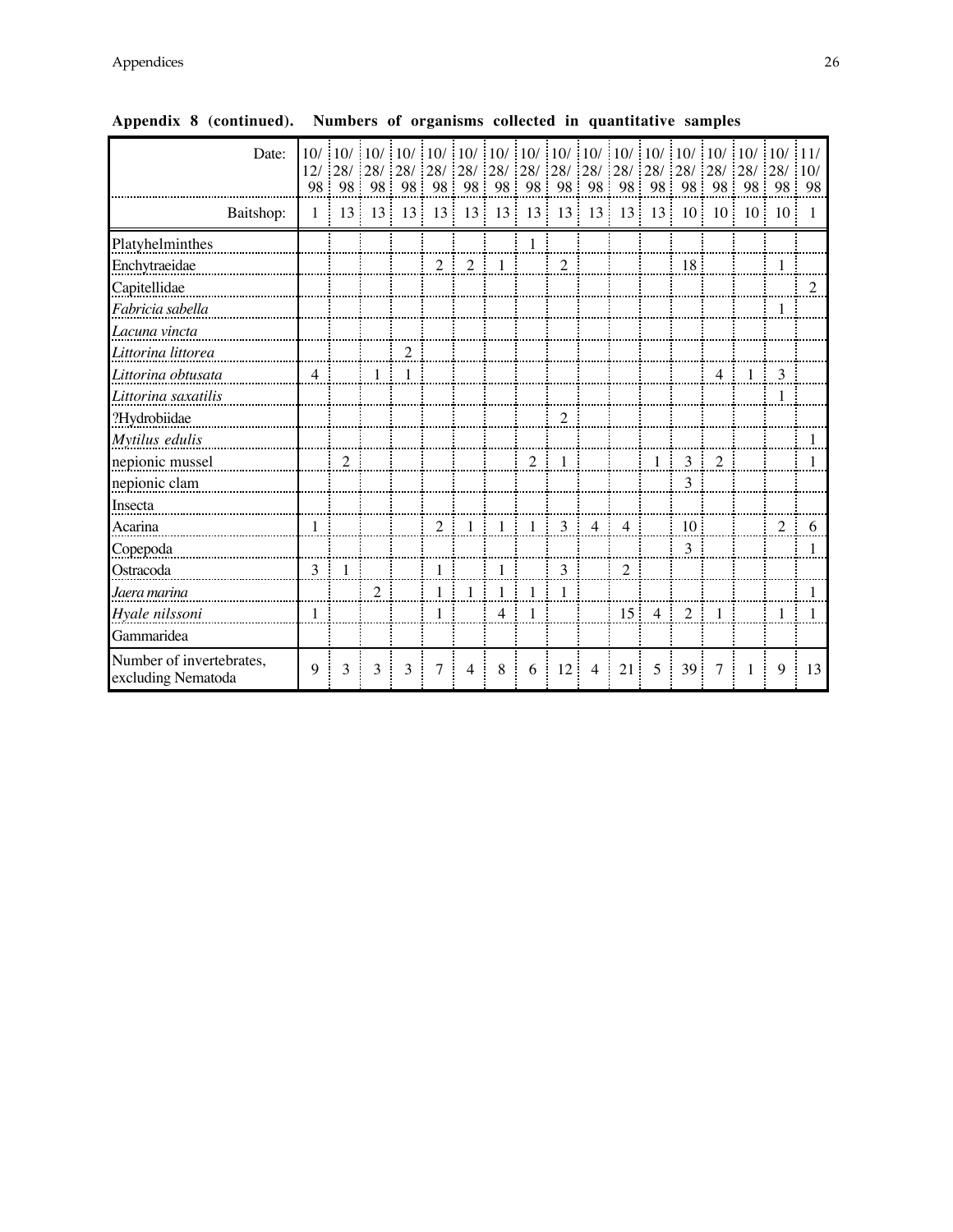| Date:                                          | 10/ |                |                |                |                |                |                 |                |                 |                |                |         |                 |                |                 | $\frac{1}{2}$ 10/ $\frac{1}{2}$ 10/ $\frac{1}{2}$ 10/ $\frac{1}{2}$ 10/ $\frac{1}{2}$ 10/ $\frac{1}{2}$ 10/ $\frac{1}{2}$ 10/ $\frac{1}{2}$ 10/ $\frac{1}{2}$ 10/ $\frac{1}{2}$ 10/ $\frac{1}{2}$ 11/ |                |
|------------------------------------------------|-----|----------------|----------------|----------------|----------------|----------------|-----------------|----------------|-----------------|----------------|----------------|---------|-----------------|----------------|-----------------|-------------------------------------------------------------------------------------------------------------------------------------------------------------------------------------------------------|----------------|
|                                                | 98  |                |                | 98:98:98:98:98 |                |                | 98 98           |                |                 | 98 98          |                |         |                 |                |                 | 98 98 98 98 98 98 98                                                                                                                                                                                  |                |
|                                                |     |                |                |                |                |                |                 |                |                 |                |                |         |                 |                |                 |                                                                                                                                                                                                       |                |
| Baitshop:                                      | 1   | 13             | 13             | 13             | 13             | 13             | 13 <sup>7</sup> | 13             | 13 <sup>°</sup> | 13             | 13             | 13      |                 | $10 \quad 10$  | 10 <sup>1</sup> | <sup>10</sup>                                                                                                                                                                                         | $\overline{1}$ |
| Platyhelminthes                                |     |                |                |                |                |                |                 |                |                 |                |                |         |                 |                |                 |                                                                                                                                                                                                       |                |
| Enchytraeidae                                  |     |                |                |                | $\overline{2}$ | 2              | -1              |                | $\overline{2}$  |                |                |         | 18              |                |                 | $\mathbf{1}$                                                                                                                                                                                          |                |
| Capitellidae                                   |     |                |                |                |                |                |                 |                |                 |                |                |         |                 |                |                 |                                                                                                                                                                                                       | $\overline{2}$ |
| Fabricia sabella                               |     |                |                |                |                |                |                 |                |                 |                |                |         |                 |                |                 | 1                                                                                                                                                                                                     |                |
| Lacuna vincta                                  |     |                |                |                |                |                |                 |                |                 |                |                |         |                 |                |                 |                                                                                                                                                                                                       |                |
| Littorina littorea                             |     |                |                | $\overline{2}$ |                |                |                 |                |                 |                |                |         |                 |                |                 |                                                                                                                                                                                                       |                |
| Littorina obtusata                             | 4   |                | 1:             | -1             |                |                |                 |                |                 |                |                |         |                 | $\overline{4}$ | 1               | 3                                                                                                                                                                                                     |                |
| Littorina saxatilis                            |     |                |                |                |                |                |                 |                |                 |                |                |         |                 |                |                 |                                                                                                                                                                                                       |                |
| ?Hydrobiidae                                   |     |                |                |                |                |                |                 |                | $\mathbf{2}$    |                |                |         |                 |                |                 |                                                                                                                                                                                                       |                |
| Mytilus edulis                                 |     |                |                |                |                |                |                 |                |                 |                |                |         |                 |                |                 |                                                                                                                                                                                                       |                |
| nepionic mussel                                |     | $\overline{2}$ |                |                |                |                |                 | $\overline{2}$ | -1              |                |                | $\pm$ 1 | 3               | $\overline{2}$ |                 |                                                                                                                                                                                                       |                |
| nepionic clam                                  |     |                |                |                |                |                |                 |                |                 |                |                |         | 3               |                |                 |                                                                                                                                                                                                       |                |
| Insecta                                        |     |                |                |                |                |                |                 |                |                 |                |                |         |                 |                |                 |                                                                                                                                                                                                       |                |
| Acarina                                        |     |                |                |                | $\overline{2}$ | $\mathbf{1}$   | $1 \quad 1$     |                | $\overline{3}$  | $\overline{4}$ | $\overline{4}$ |         | 10              |                |                 | $\overline{2}$                                                                                                                                                                                        | 6              |
| Copepoda                                       |     |                |                |                |                |                |                 |                |                 |                |                |         | 3               |                |                 |                                                                                                                                                                                                       | 1              |
| Ostracoda                                      | 3   | $\mathbf{1}$   |                |                | 1              |                | $\mathbf{1}$    |                | 3               |                | $\sqrt{2}$     |         |                 |                |                 |                                                                                                                                                                                                       |                |
| Jaera marina                                   |     |                | $\overline{2}$ |                | 1              |                | 1.              |                | 1               |                |                |         |                 |                |                 |                                                                                                                                                                                                       |                |
| Hyale nilssoni                                 | 1   |                |                |                | 1              |                | 4 <sup>1</sup>  | -1             |                 |                | 15 4           |         | 2               | $\mathbf{1}$   |                 | 1                                                                                                                                                                                                     | $\overline{1}$ |
| Gammaridea                                     |     |                |                |                |                |                |                 |                |                 |                |                |         |                 |                |                 |                                                                                                                                                                                                       |                |
| Number of invertebrates,<br>excluding Nematoda | 9   | 3              | 3              | 3              | 7              | $\overline{4}$ | 8               | 6              | 12 <sup>1</sup> | $\overline{4}$ | 21             | 5       | 39 <sup>°</sup> | 7              | $\mathbf{1}$    | 9                                                                                                                                                                                                     | 13             |

**Appendix 8 (continued). Numbers of organisms collected in quantitative samples**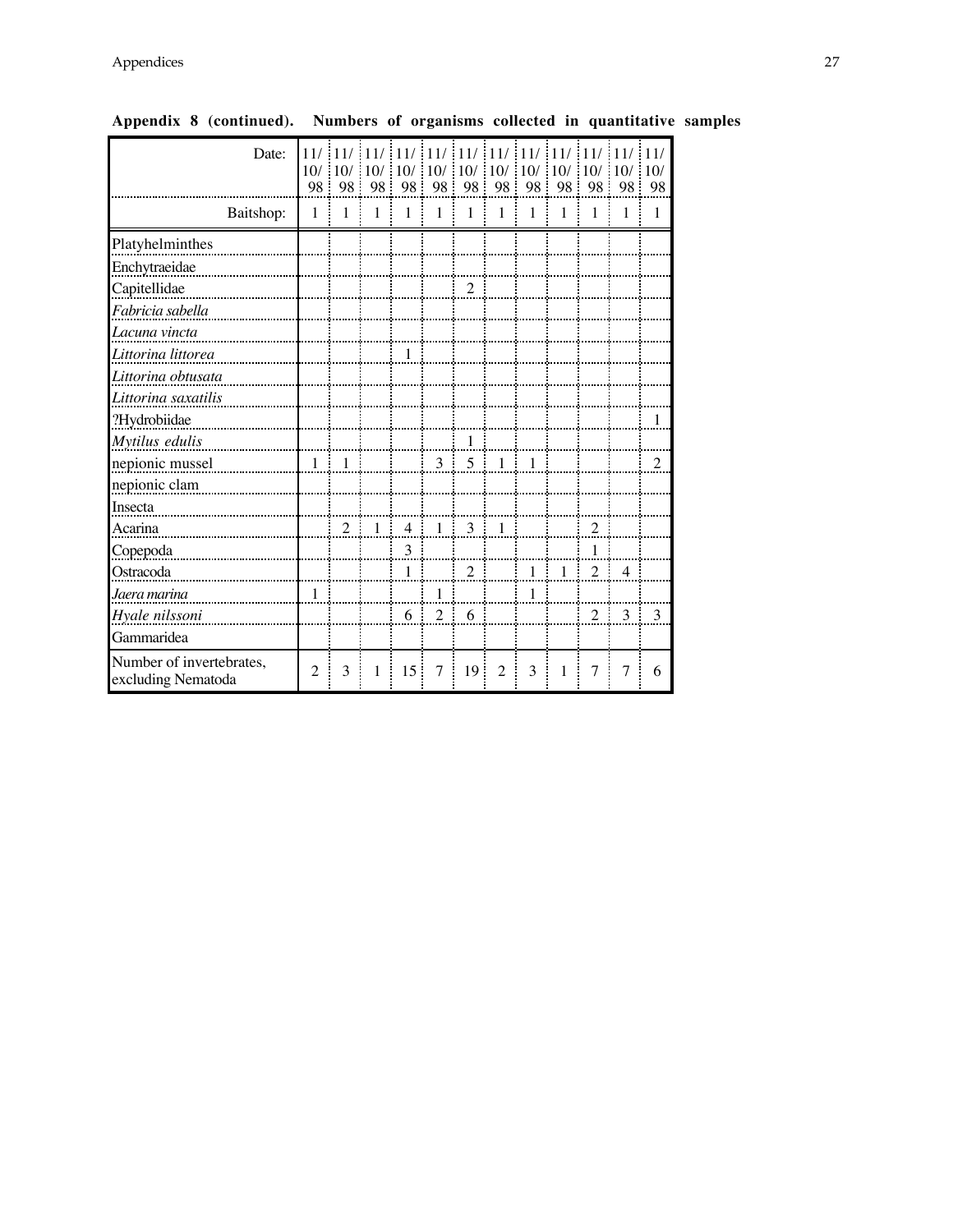| Date:                                          | 98             | 11/11/11/11/<br>10/10/10/<br>98 | 98           | 11/<br>10/<br>98 | 11/<br>10/<br>98 | 11/<br>10/<br>÷<br>98 | 111<br>10/<br>98 | $-11/$<br>10/<br>98 | 11/<br>10/10/<br>98 | 11/<br>98      | 11/<br>10/<br>÷<br>98 | 11/<br>10/<br>98 |
|------------------------------------------------|----------------|---------------------------------|--------------|------------------|------------------|-----------------------|------------------|---------------------|---------------------|----------------|-----------------------|------------------|
| Baitshop:                                      | 1              | $\mathbf{1}$                    | $\mathbf{1}$ | $\mathbf{1}$     | $\mathbf{1}$     | $\mathbf{1}$          | $\mathbf{1}$     | $\mathbf{1}$        | $\mathbf{1}$        | 1              | 1                     | $\mathbf{1}$     |
| Platyhelminthes                                |                |                                 |              |                  |                  |                       |                  |                     |                     |                |                       |                  |
| Enchytraeidae                                  |                |                                 |              |                  |                  |                       |                  |                     |                     |                |                       |                  |
| Capitellidae                                   |                |                                 |              |                  |                  | $\mathfrak{2}$        |                  |                     |                     |                |                       |                  |
| Fabricia sabella                               |                |                                 |              |                  |                  |                       |                  |                     |                     |                |                       |                  |
| Lacuna vincta                                  |                |                                 |              |                  |                  |                       |                  |                     |                     |                |                       |                  |
| Littorina littorea                             |                |                                 |              | $\mathbf{1}$     |                  |                       |                  |                     |                     |                |                       |                  |
| Littorina obtusata                             |                |                                 |              |                  |                  |                       |                  |                     |                     |                |                       |                  |
| Littorina saxatilis                            |                |                                 |              |                  |                  |                       |                  |                     |                     |                |                       |                  |
| ?Hydrobiidae                                   |                |                                 |              |                  |                  |                       |                  |                     |                     |                |                       | 1                |
| Mytilus edulis                                 |                |                                 |              |                  |                  | $\mathbf{1}$          |                  |                     |                     |                |                       |                  |
| nepionic mussel                                | 1:             | $\overline{1}$                  |              |                  | 3 <sup>1</sup>   |                       | $5 \quad 1$      | $\pm$ 1             |                     |                |                       | $\overline{2}$   |
| nepionic clam                                  |                |                                 |              |                  |                  |                       |                  |                     |                     |                |                       |                  |
| Insecta                                        |                |                                 |              |                  |                  |                       |                  |                     |                     |                |                       |                  |
| Acarina                                        |                | $\overline{2}$                  | $1 -$        | $\overline{4}$   |                  | $1 \quad 3 \quad 1$   |                  |                     |                     | $\mathfrak{2}$ |                       |                  |
| Copepoda                                       |                |                                 |              | 3                |                  |                       |                  |                     |                     | 1              |                       |                  |
| Ostracoda                                      |                |                                 |              | $\mathbf{1}$     |                  | $\overline{2}$        |                  | 1                   | $\mathbf{1}$        | $\overline{2}$ | $\overline{4}$        |                  |
| Jaera marina                                   | $\mathbf{1}$   |                                 |              |                  | 1                |                       |                  | $\mathbf{1}$        |                     |                |                       |                  |
| Hyale nilssoni                                 |                |                                 |              | 6                | $\overline{2}$   | 6                     |                  |                     |                     | $\overline{2}$ | 3                     | $\mathcal{R}$    |
| Gammaridea                                     |                |                                 |              |                  |                  |                       |                  |                     |                     |                |                       |                  |
| Number of invertebrates,<br>excluding Nematoda | $\overline{2}$ | 3                               | 1            | 15               | 7                | 19                    | $\overline{2}$   | 3                   | $\mathbf{1}$        | $\overline{7}$ | $\overline{7}$        | 6                |

**Appendix 8 (continued). Numbers of organisms collected in quantitative samples**